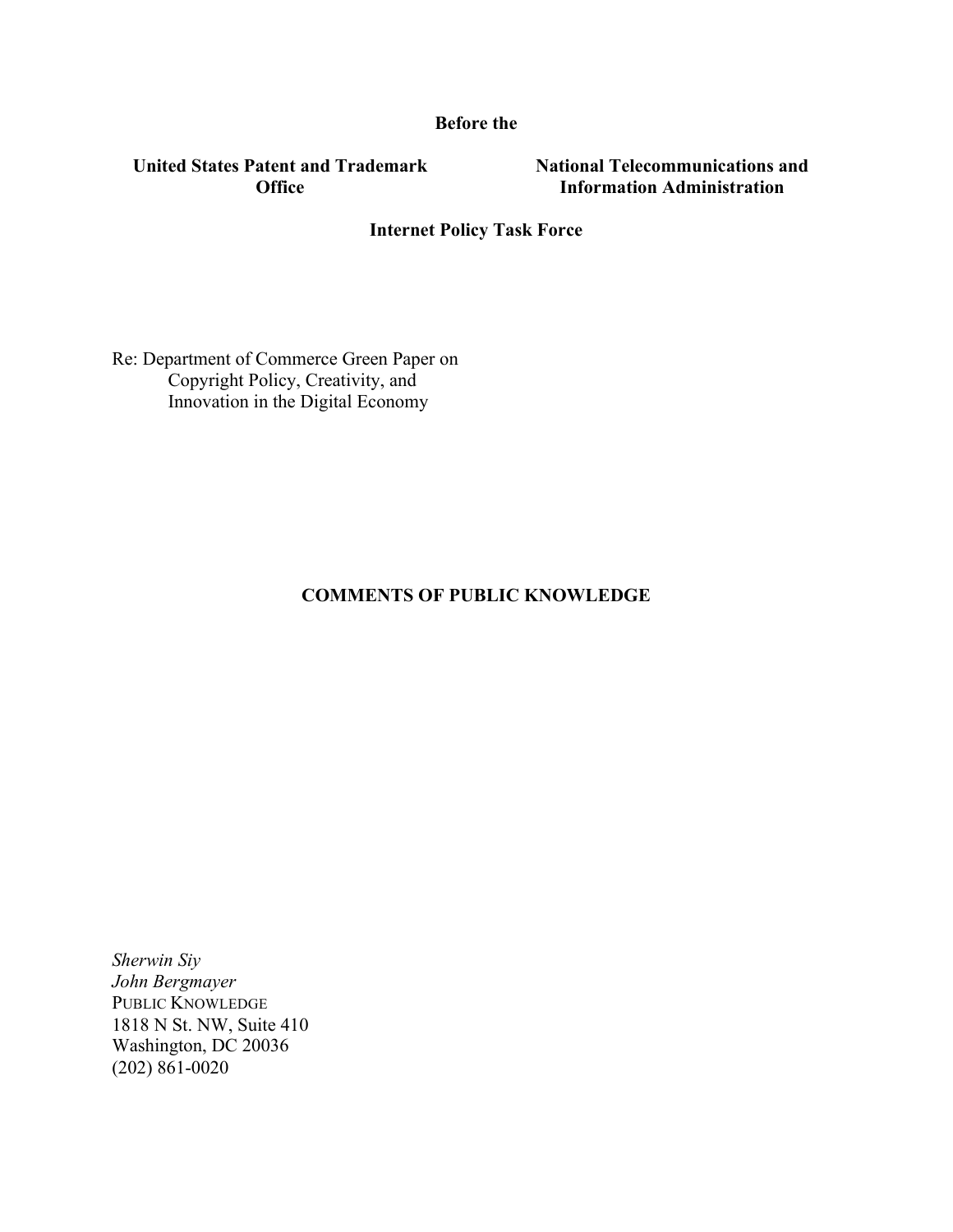**Before the**

**United States Patent and Trademark Office**

**National Telecommunications and Information Administration**

# **Internet Policy Task Force**

Re: Department of Commerce Green Paper on Copyright Policy, Creativity, and Innovation in the Digital Economy

### **COMMENTS OF PUBLIC KNOWLEDGE**

*Sherwin Siy John Bergmayer* PUBLIC KNOWLEDGE 1818 N St. NW, Suite 410 Washington, DC 20036 (202) 861-0020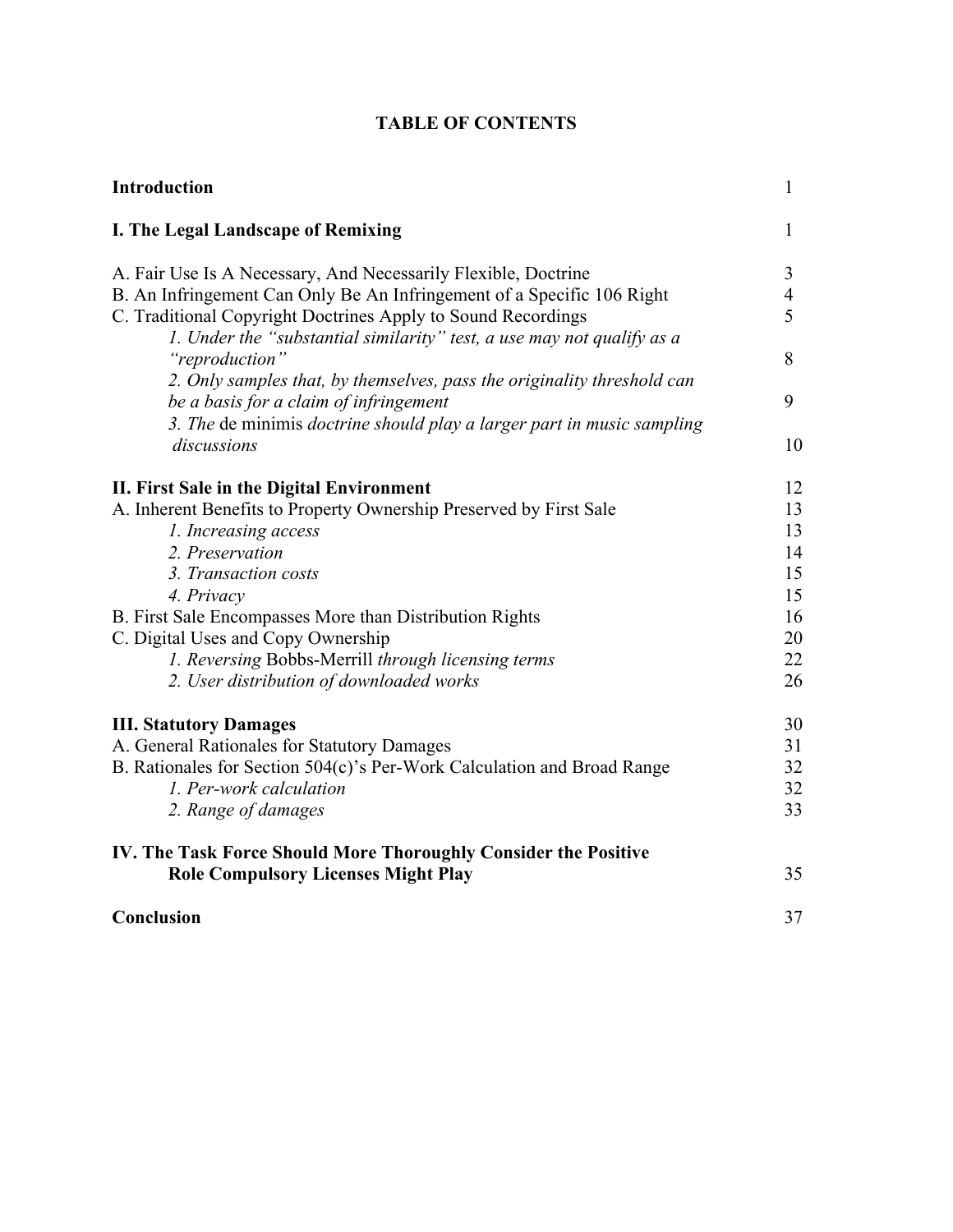# **TABLE OF CONTENTS**

| 1              |
|----------------|
| 3              |
| $\overline{4}$ |
| 5              |
| 8              |
|                |
| 9              |
|                |
| 10             |
| 12             |
| 13             |
| 13             |
| 14             |
| 15             |
| 15             |
| 16             |
| 20             |
| 22             |
| 26             |
| 30             |
| 31             |
| 32             |
| 32             |
| 33             |
|                |
| 35             |
| 37             |
|                |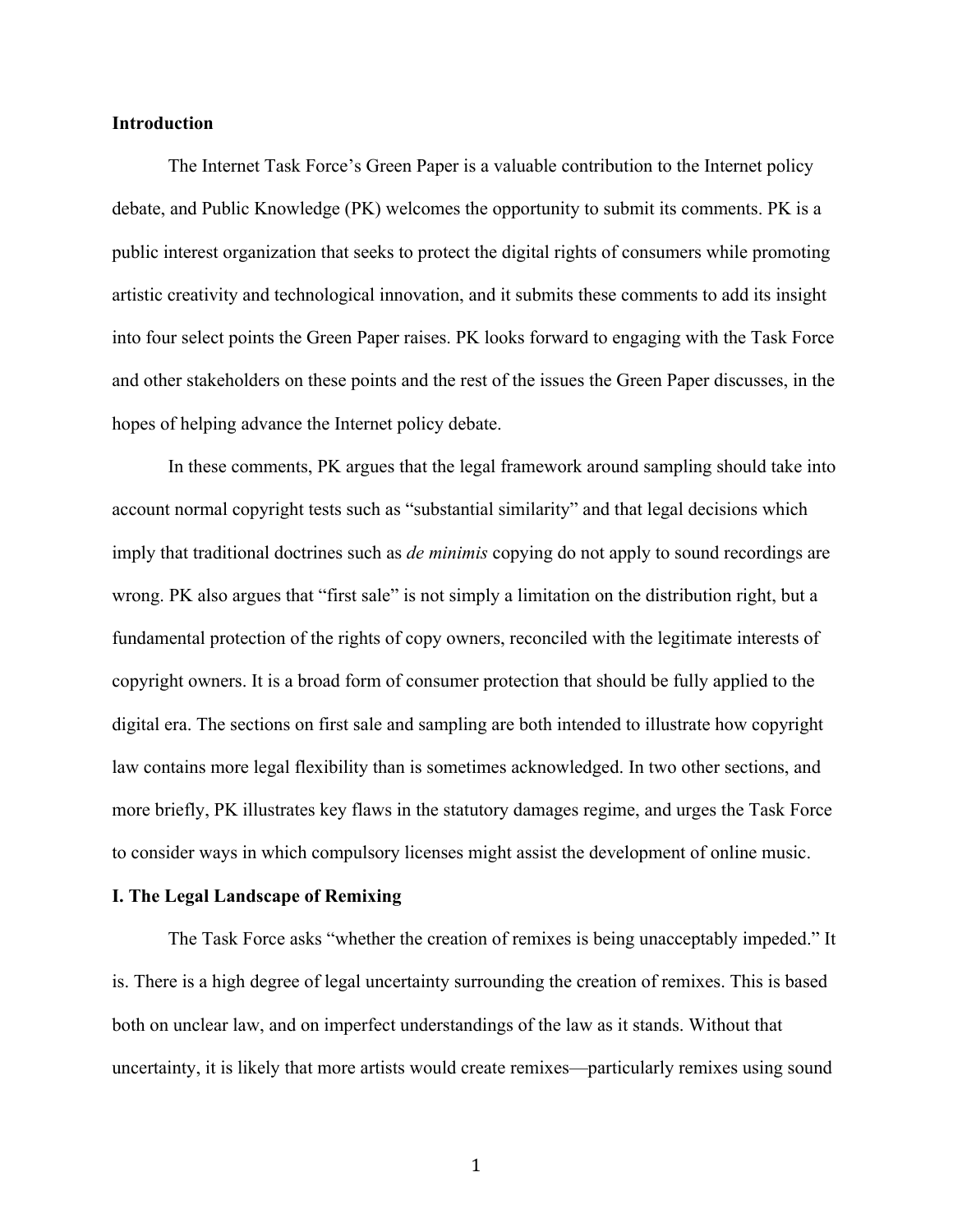#### **Introduction**

The Internet Task Force's Green Paper is a valuable contribution to the Internet policy debate, and Public Knowledge (PK) welcomes the opportunity to submit its comments. PK is a public interest organization that seeks to protect the digital rights of consumers while promoting artistic creativity and technological innovation, and it submits these comments to add its insight into four select points the Green Paper raises. PK looks forward to engaging with the Task Force and other stakeholders on these points and the rest of the issues the Green Paper discusses, in the hopes of helping advance the Internet policy debate.

In these comments, PK argues that the legal framework around sampling should take into account normal copyright tests such as "substantial similarity" and that legal decisions which imply that traditional doctrines such as *de minimis* copying do not apply to sound recordings are wrong. PK also argues that "first sale" is not simply a limitation on the distribution right, but a fundamental protection of the rights of copy owners, reconciled with the legitimate interests of copyright owners. It is a broad form of consumer protection that should be fully applied to the digital era. The sections on first sale and sampling are both intended to illustrate how copyright law contains more legal flexibility than is sometimes acknowledged. In two other sections, and more briefly, PK illustrates key flaws in the statutory damages regime, and urges the Task Force to consider ways in which compulsory licenses might assist the development of online music.

#### **I. The Legal Landscape of Remixing**

The Task Force asks "whether the creation of remixes is being unacceptably impeded." It is. There is a high degree of legal uncertainty surrounding the creation of remixes. This is based both on unclear law, and on imperfect understandings of the law as it stands. Without that uncertainty, it is likely that more artists would create remixes—particularly remixes using sound

1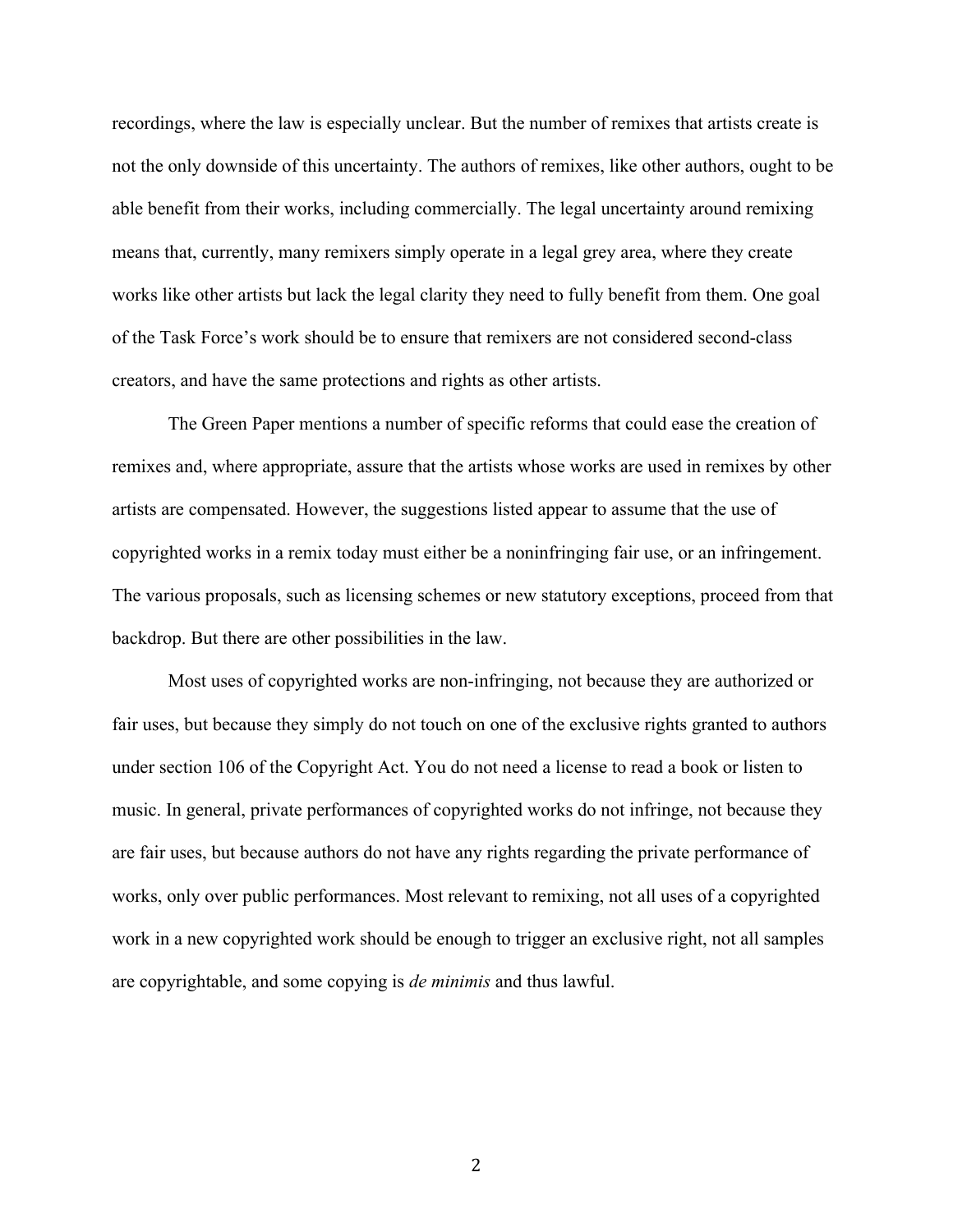recordings, where the law is especially unclear. But the number of remixes that artists create is not the only downside of this uncertainty. The authors of remixes, like other authors, ought to be able benefit from their works, including commercially. The legal uncertainty around remixing means that, currently, many remixers simply operate in a legal grey area, where they create works like other artists but lack the legal clarity they need to fully benefit from them. One goal of the Task Force's work should be to ensure that remixers are not considered second-class creators, and have the same protections and rights as other artists.

The Green Paper mentions a number of specific reforms that could ease the creation of remixes and, where appropriate, assure that the artists whose works are used in remixes by other artists are compensated. However, the suggestions listed appear to assume that the use of copyrighted works in a remix today must either be a noninfringing fair use, or an infringement. The various proposals, such as licensing schemes or new statutory exceptions, proceed from that backdrop. But there are other possibilities in the law.

Most uses of copyrighted works are non-infringing, not because they are authorized or fair uses, but because they simply do not touch on one of the exclusive rights granted to authors under section 106 of the Copyright Act. You do not need a license to read a book or listen to music. In general, private performances of copyrighted works do not infringe, not because they are fair uses, but because authors do not have any rights regarding the private performance of works, only over public performances. Most relevant to remixing, not all uses of a copyrighted work in a new copyrighted work should be enough to trigger an exclusive right, not all samples are copyrightable, and some copying is *de minimis* and thus lawful.

2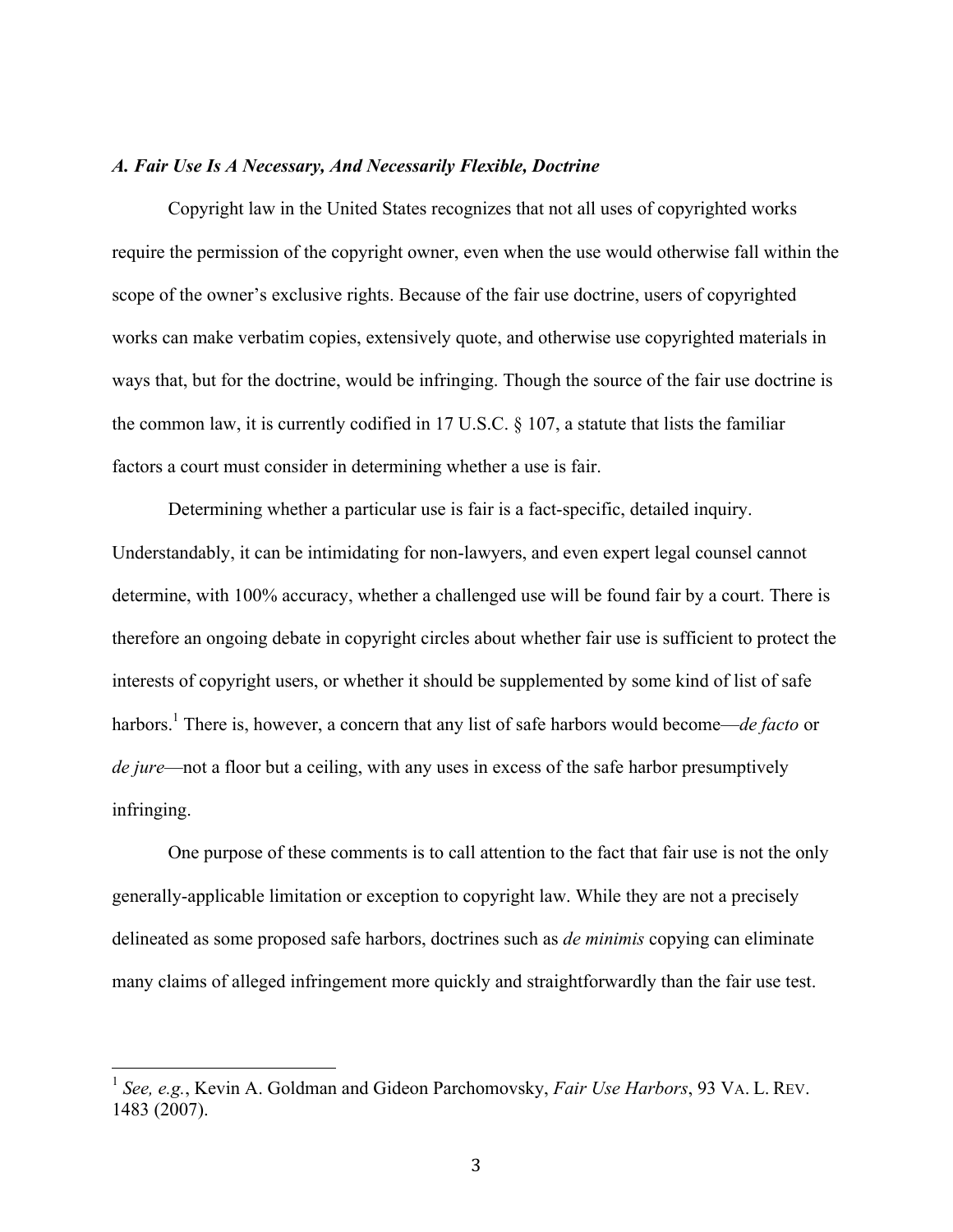#### *A. Fair Use Is A Necessary, And Necessarily Flexible, Doctrine*

Copyright law in the United States recognizes that not all uses of copyrighted works require the permission of the copyright owner, even when the use would otherwise fall within the scope of the owner's exclusive rights. Because of the fair use doctrine, users of copyrighted works can make verbatim copies, extensively quote, and otherwise use copyrighted materials in ways that, but for the doctrine, would be infringing. Though the source of the fair use doctrine is the common law, it is currently codified in 17 U.S.C. § 107, a statute that lists the familiar factors a court must consider in determining whether a use is fair.

Determining whether a particular use is fair is a fact-specific, detailed inquiry. Understandably, it can be intimidating for non-lawyers, and even expert legal counsel cannot determine, with 100% accuracy, whether a challenged use will be found fair by a court. There is therefore an ongoing debate in copyright circles about whether fair use is sufficient to protect the interests of copyright users, or whether it should be supplemented by some kind of list of safe harbors.<sup>1</sup> There is, however, a concern that any list of safe harbors would become—*de facto* or *de jure*—not a floor but a ceiling, with any uses in excess of the safe harbor presumptively infringing.

One purpose of these comments is to call attention to the fact that fair use is not the only generally-applicable limitation or exception to copyright law. While they are not a precisely delineated as some proposed safe harbors, doctrines such as *de minimis* copying can eliminate many claims of alleged infringement more quickly and straightforwardly than the fair use test.

 <sup>1</sup> *See, e.g.*, Kevin A. Goldman and Gideon Parchomovsky, *Fair Use Harbors*, 93 VA. L. REV. 1483 (2007).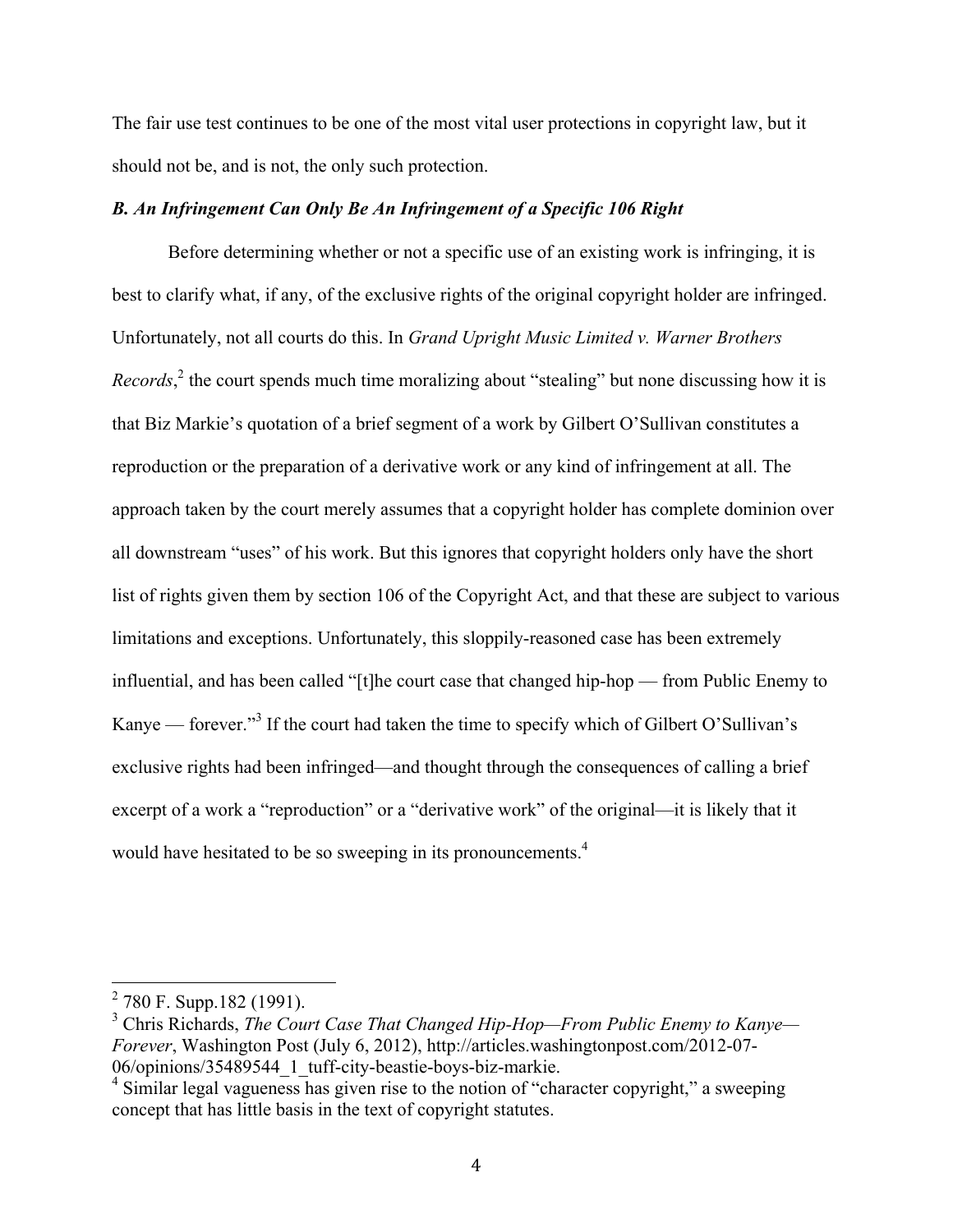The fair use test continues to be one of the most vital user protections in copyright law, but it should not be, and is not, the only such protection.

# *B. An Infringement Can Only Be An Infringement of a Specific 106 Right*

Before determining whether or not a specific use of an existing work is infringing, it is best to clarify what, if any, of the exclusive rights of the original copyright holder are infringed. Unfortunately, not all courts do this. In *Grand Upright Music Limited v. Warner Brothers Records*,<sup>2</sup> the court spends much time moralizing about "stealing" but none discussing how it is that Biz Markie's quotation of a brief segment of a work by Gilbert O'Sullivan constitutes a reproduction or the preparation of a derivative work or any kind of infringement at all. The approach taken by the court merely assumes that a copyright holder has complete dominion over all downstream "uses" of his work. But this ignores that copyright holders only have the short list of rights given them by section 106 of the Copyright Act, and that these are subject to various limitations and exceptions. Unfortunately, this sloppily-reasoned case has been extremely influential, and has been called "[t]he court case that changed hip-hop — from Public Enemy to Kanye — forever."<sup>3</sup> If the court had taken the time to specify which of Gilbert O'Sullivan's exclusive rights had been infringed—and thought through the consequences of calling a brief excerpt of a work a "reproduction" or a "derivative work" of the original—it is likely that it would have hesitated to be so sweeping in its pronouncements.<sup>4</sup>

 <sup>2</sup> 780 F. Supp.182 (1991).

<sup>3</sup> Chris Richards, *The Court Case That Changed Hip-Hop—From Public Enemy to Kanye— Forever*, Washington Post (July 6, 2012), http://articles.washingtonpost.com/2012-07- 06/opinions/35489544\_1\_tuff-city-beastie-boys-biz-markie.

 $4 \sin(\theta)$  Similar legal vagueness has given rise to the notion of "character copyright," a sweeping concept that has little basis in the text of copyright statutes.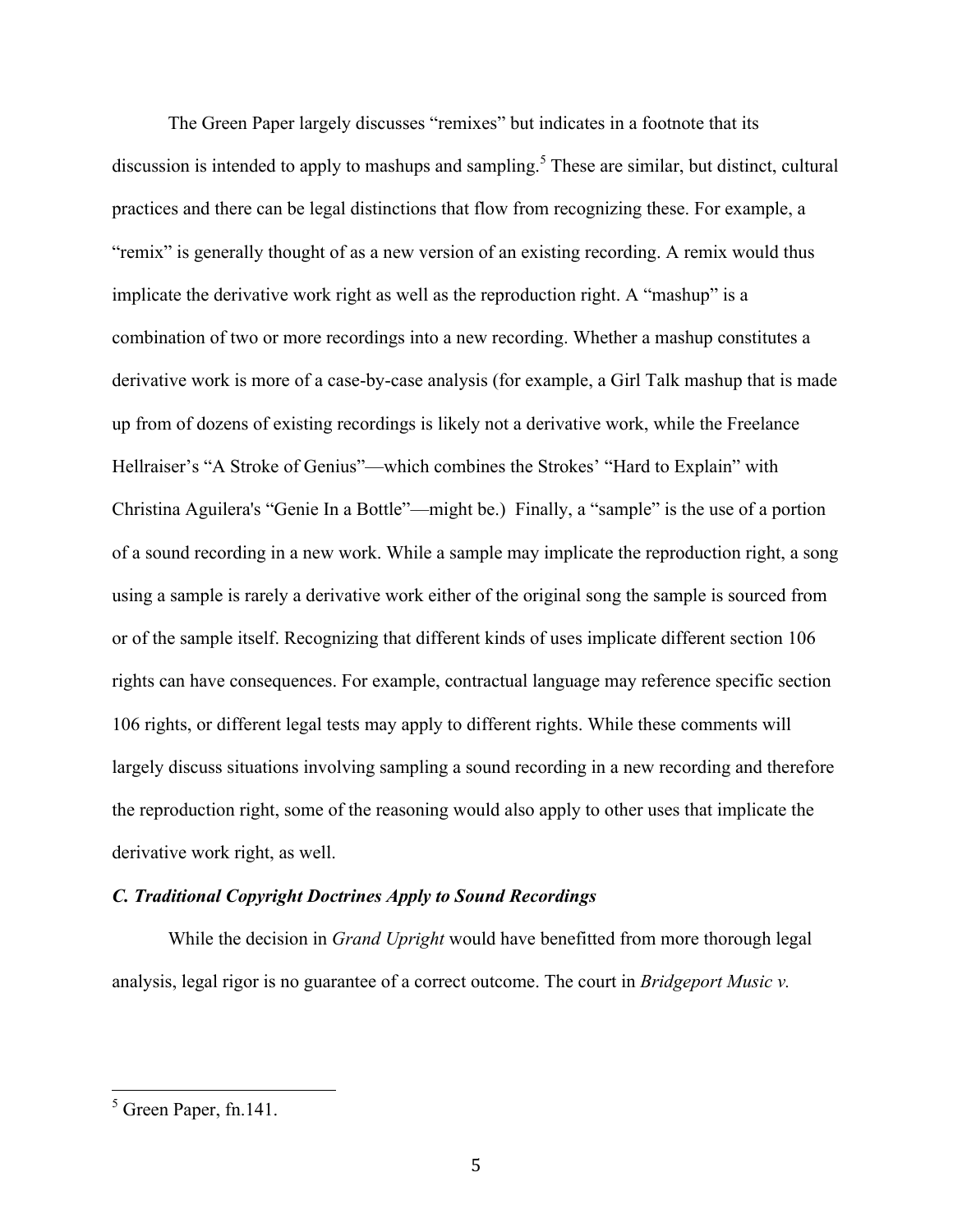The Green Paper largely discusses "remixes" but indicates in a footnote that its discussion is intended to apply to mashups and sampling.<sup>5</sup> These are similar, but distinct, cultural practices and there can be legal distinctions that flow from recognizing these. For example, a "remix" is generally thought of as a new version of an existing recording. A remix would thus implicate the derivative work right as well as the reproduction right. A "mashup" is a combination of two or more recordings into a new recording. Whether a mashup constitutes a derivative work is more of a case-by-case analysis (for example, a Girl Talk mashup that is made up from of dozens of existing recordings is likely not a derivative work, while the Freelance Hellraiser's "A Stroke of Genius"—which combines the Strokes' "Hard to Explain" with Christina Aguilera's "Genie In a Bottle"—might be.) Finally, a "sample" is the use of a portion of a sound recording in a new work. While a sample may implicate the reproduction right, a song using a sample is rarely a derivative work either of the original song the sample is sourced from or of the sample itself. Recognizing that different kinds of uses implicate different section 106 rights can have consequences. For example, contractual language may reference specific section 106 rights, or different legal tests may apply to different rights. While these comments will largely discuss situations involving sampling a sound recording in a new recording and therefore the reproduction right, some of the reasoning would also apply to other uses that implicate the derivative work right, as well.

#### *C. Traditional Copyright Doctrines Apply to Sound Recordings*

While the decision in *Grand Upright* would have benefitted from more thorough legal analysis, legal rigor is no guarantee of a correct outcome. The court in *Bridgeport Music v.* 

 $<sup>5</sup>$  Green Paper, fn.141.</sup>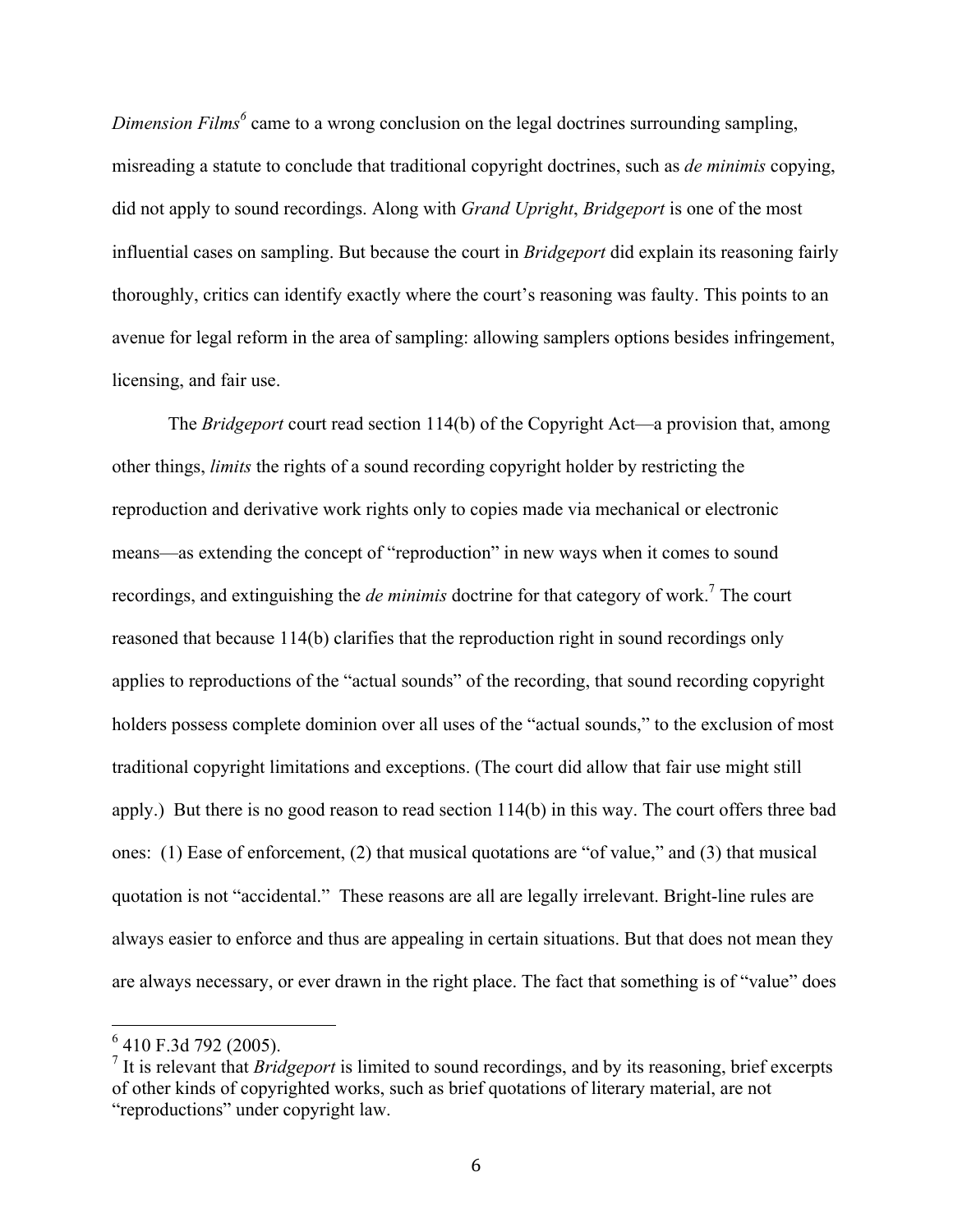*Dimension Films*<sup>6</sup> came to a wrong conclusion on the legal doctrines surrounding sampling, misreading a statute to conclude that traditional copyright doctrines, such as *de minimis* copying, did not apply to sound recordings. Along with *Grand Upright*, *Bridgeport* is one of the most influential cases on sampling. But because the court in *Bridgeport* did explain its reasoning fairly thoroughly, critics can identify exactly where the court's reasoning was faulty. This points to an avenue for legal reform in the area of sampling: allowing samplers options besides infringement, licensing, and fair use.

The *Bridgeport* court read section 114(b) of the Copyright Act—a provision that, among other things, *limits* the rights of a sound recording copyright holder by restricting the reproduction and derivative work rights only to copies made via mechanical or electronic means—as extending the concept of "reproduction" in new ways when it comes to sound recordings, and extinguishing the *de minimis* doctrine for that category of work.7 The court reasoned that because 114(b) clarifies that the reproduction right in sound recordings only applies to reproductions of the "actual sounds" of the recording, that sound recording copyright holders possess complete dominion over all uses of the "actual sounds," to the exclusion of most traditional copyright limitations and exceptions. (The court did allow that fair use might still apply.) But there is no good reason to read section 114(b) in this way. The court offers three bad ones: (1) Ease of enforcement, (2) that musical quotations are "of value," and (3) that musical quotation is not "accidental." These reasons are all are legally irrelevant. Bright-line rules are always easier to enforce and thus are appealing in certain situations. But that does not mean they are always necessary, or ever drawn in the right place. The fact that something is of "value" does

 $6$  410 F.3d 792 (2005).

<sup>7</sup> It is relevant that *Bridgeport* is limited to sound recordings, and by its reasoning, brief excerpts of other kinds of copyrighted works, such as brief quotations of literary material, are not "reproductions" under copyright law.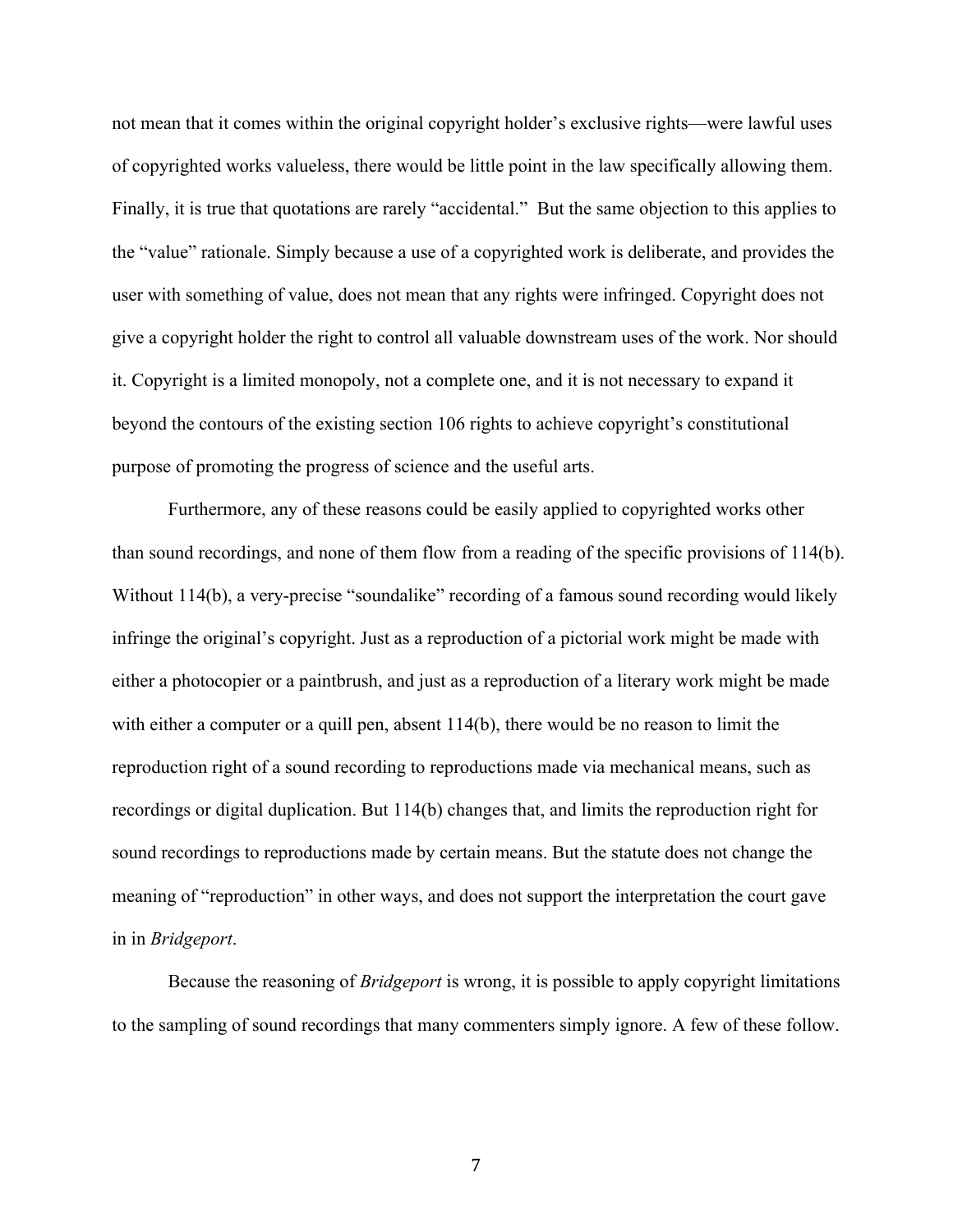not mean that it comes within the original copyright holder's exclusive rights—were lawful uses of copyrighted works valueless, there would be little point in the law specifically allowing them. Finally, it is true that quotations are rarely "accidental." But the same objection to this applies to the "value" rationale. Simply because a use of a copyrighted work is deliberate, and provides the user with something of value, does not mean that any rights were infringed. Copyright does not give a copyright holder the right to control all valuable downstream uses of the work. Nor should it. Copyright is a limited monopoly, not a complete one, and it is not necessary to expand it beyond the contours of the existing section 106 rights to achieve copyright's constitutional purpose of promoting the progress of science and the useful arts.

Furthermore, any of these reasons could be easily applied to copyrighted works other than sound recordings, and none of them flow from a reading of the specific provisions of 114(b). Without 114(b), a very-precise "soundalike" recording of a famous sound recording would likely infringe the original's copyright. Just as a reproduction of a pictorial work might be made with either a photocopier or a paintbrush, and just as a reproduction of a literary work might be made with either a computer or a quill pen, absent 114(b), there would be no reason to limit the reproduction right of a sound recording to reproductions made via mechanical means, such as recordings or digital duplication. But 114(b) changes that, and limits the reproduction right for sound recordings to reproductions made by certain means. But the statute does not change the meaning of "reproduction" in other ways, and does not support the interpretation the court gave in in *Bridgeport*.

Because the reasoning of *Bridgeport* is wrong, it is possible to apply copyright limitations to the sampling of sound recordings that many commenters simply ignore. A few of these follow.

7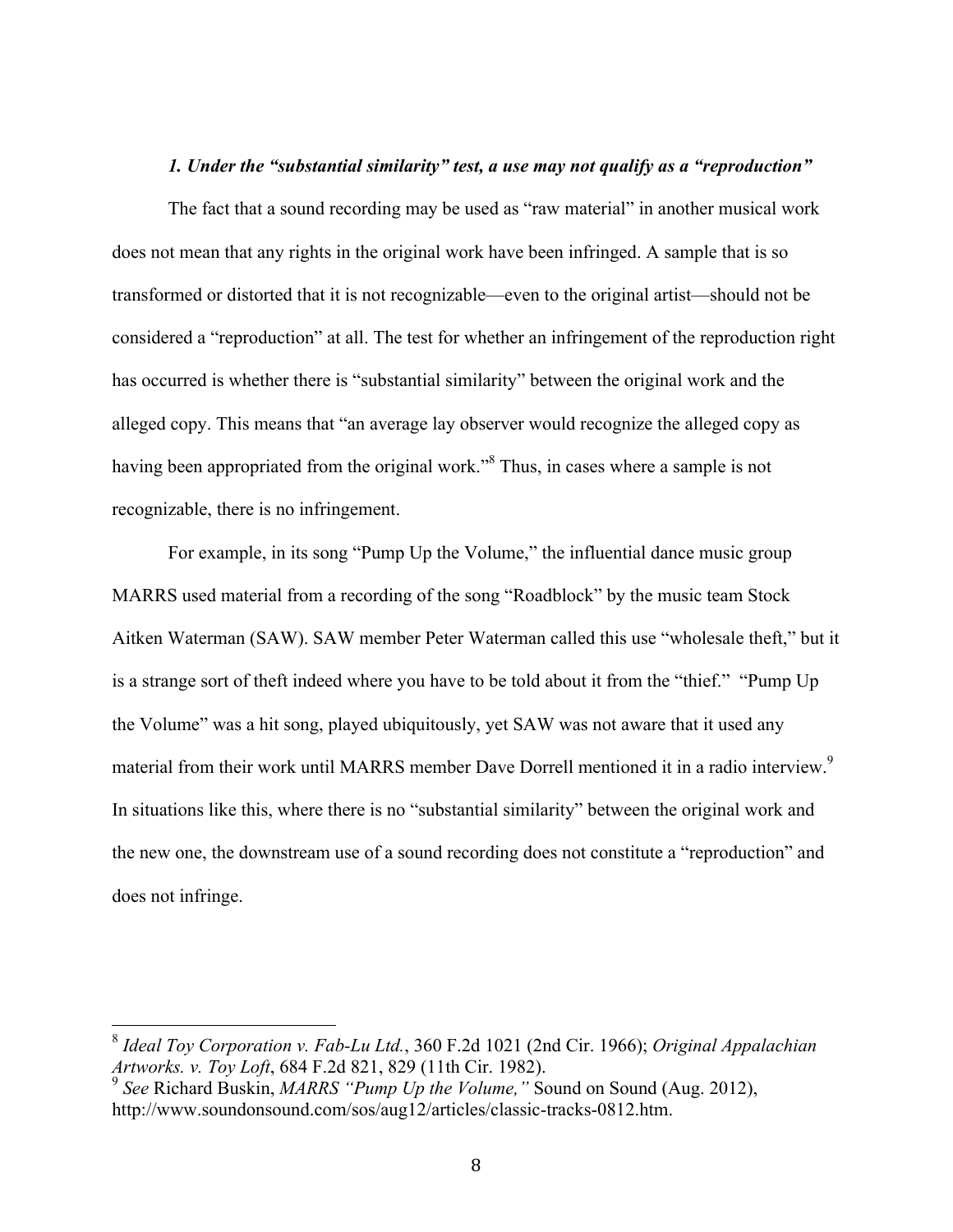#### *1. Under the "substantial similarity" test, a use may not qualify as a "reproduction"*

The fact that a sound recording may be used as "raw material" in another musical work does not mean that any rights in the original work have been infringed. A sample that is so transformed or distorted that it is not recognizable—even to the original artist—should not be considered a "reproduction" at all. The test for whether an infringement of the reproduction right has occurred is whether there is "substantial similarity" between the original work and the alleged copy. This means that "an average lay observer would recognize the alleged copy as having been appropriated from the original work.<sup>38</sup> Thus, in cases where a sample is not recognizable, there is no infringement.

For example, in its song "Pump Up the Volume," the influential dance music group MARRS used material from a recording of the song "Roadblock" by the music team Stock Aitken Waterman (SAW). SAW member Peter Waterman called this use "wholesale theft," but it is a strange sort of theft indeed where you have to be told about it from the "thief." "Pump Up the Volume" was a hit song, played ubiquitously, yet SAW was not aware that it used any material from their work until MARRS member Dave Dorrell mentioned it in a radio interview.<sup>9</sup> In situations like this, where there is no "substantial similarity" between the original work and the new one, the downstream use of a sound recording does not constitute a "reproduction" and does not infringe.

 <sup>8</sup> *Ideal Toy Corporation v. Fab-Lu Ltd.*, 360 F.2d 1021 (2nd Cir. 1966); *Original Appalachian Artworks. v. Toy Loft*, 684 F.2d 821, 829 (11th Cir. 1982).

<sup>9</sup> *See* Richard Buskin, *MARRS "Pump Up the Volume,"* Sound on Sound (Aug. 2012), http://www.soundonsound.com/sos/aug12/articles/classic-tracks-0812.htm.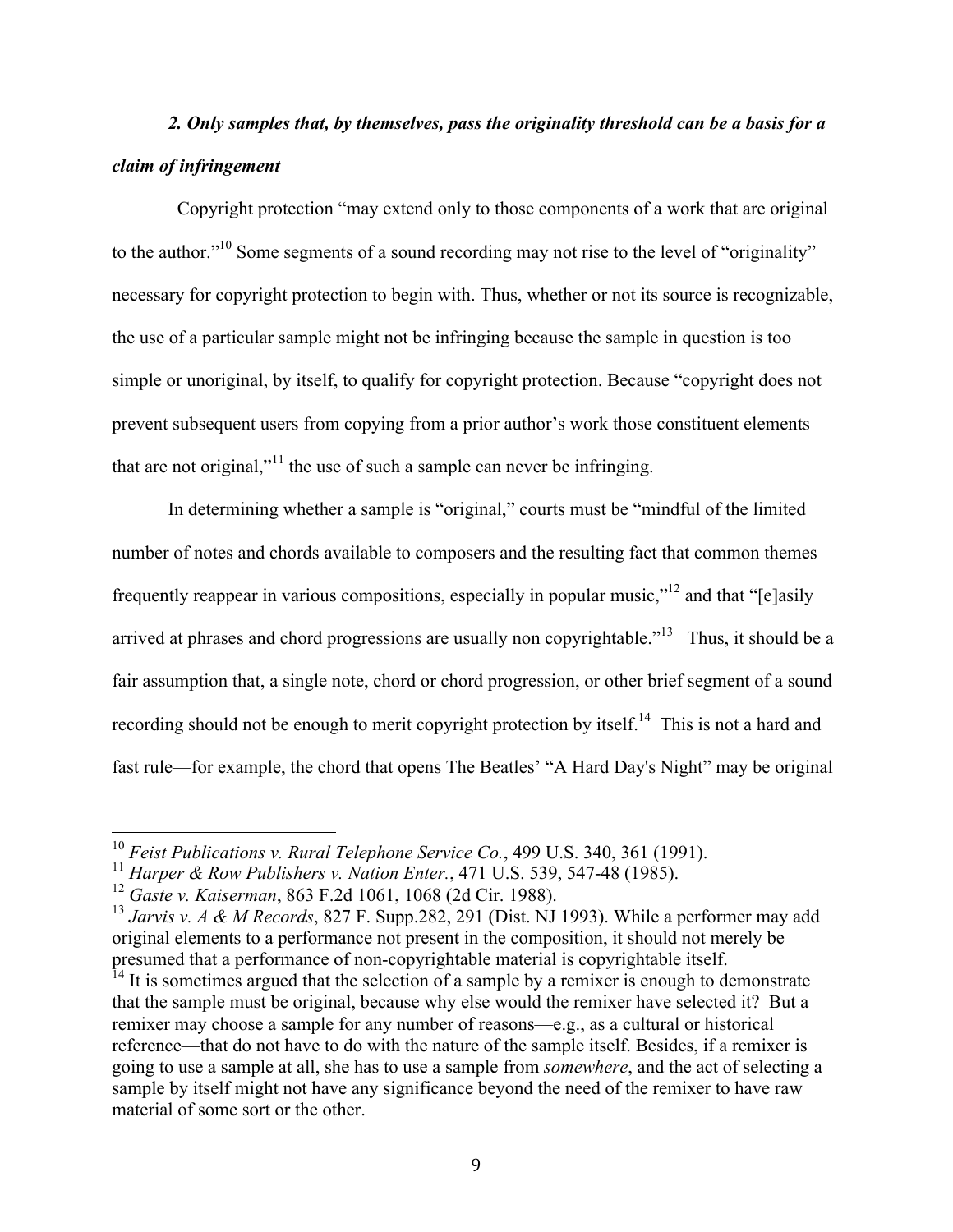# *2. Only samples that, by themselves, pass the originality threshold can be a basis for a claim of infringement*

 Copyright protection "may extend only to those components of a work that are original to the author."10 Some segments of a sound recording may not rise to the level of "originality" necessary for copyright protection to begin with. Thus, whether or not its source is recognizable, the use of a particular sample might not be infringing because the sample in question is too simple or unoriginal, by itself, to qualify for copyright protection. Because "copyright does not prevent subsequent users from copying from a prior author's work those constituent elements that are not original,"<sup>11</sup> the use of such a sample can never be infringing.

In determining whether a sample is "original," courts must be "mindful of the limited number of notes and chords available to composers and the resulting fact that common themes frequently reappear in various compositions, especially in popular music,"12 and that "[e]asily arrived at phrases and chord progressions are usually non copyrightable."<sup>13</sup> Thus, it should be a fair assumption that, a single note, chord or chord progression, or other brief segment of a sound recording should not be enough to merit copyright protection by itself.<sup>14</sup> This is not a hard and fast rule—for example, the chord that opens The Beatles' "A Hard Day's Night" may be original

 <sup>10</sup> *Feist Publications v. Rural Telephone Service Co.*, 499 U.S. 340, 361 (1991).

<sup>11</sup> *Harper & Row Publishers v. Nation Enter.*, 471 U.S. 539, 547-48 (1985).

<sup>12</sup> *Gaste v. Kaiserman*, 863 F.2d 1061, 1068 (2d Cir. 1988).

<sup>13</sup> *Jarvis v. A & M Records*, 827 F. Supp.282, 291 (Dist. NJ 1993). While a performer may add original elements to a performance not present in the composition, it should not merely be presumed that a performance of non-copyrightable material is copyrightable itself.

 $<sup>14</sup>$  It is sometimes argued that the selection of a sample by a remixer is enough to demonstrate</sup> that the sample must be original, because why else would the remixer have selected it? But a remixer may choose a sample for any number of reasons—e.g., as a cultural or historical reference—that do not have to do with the nature of the sample itself. Besides, if a remixer is going to use a sample at all, she has to use a sample from *somewhere*, and the act of selecting a sample by itself might not have any significance beyond the need of the remixer to have raw material of some sort or the other.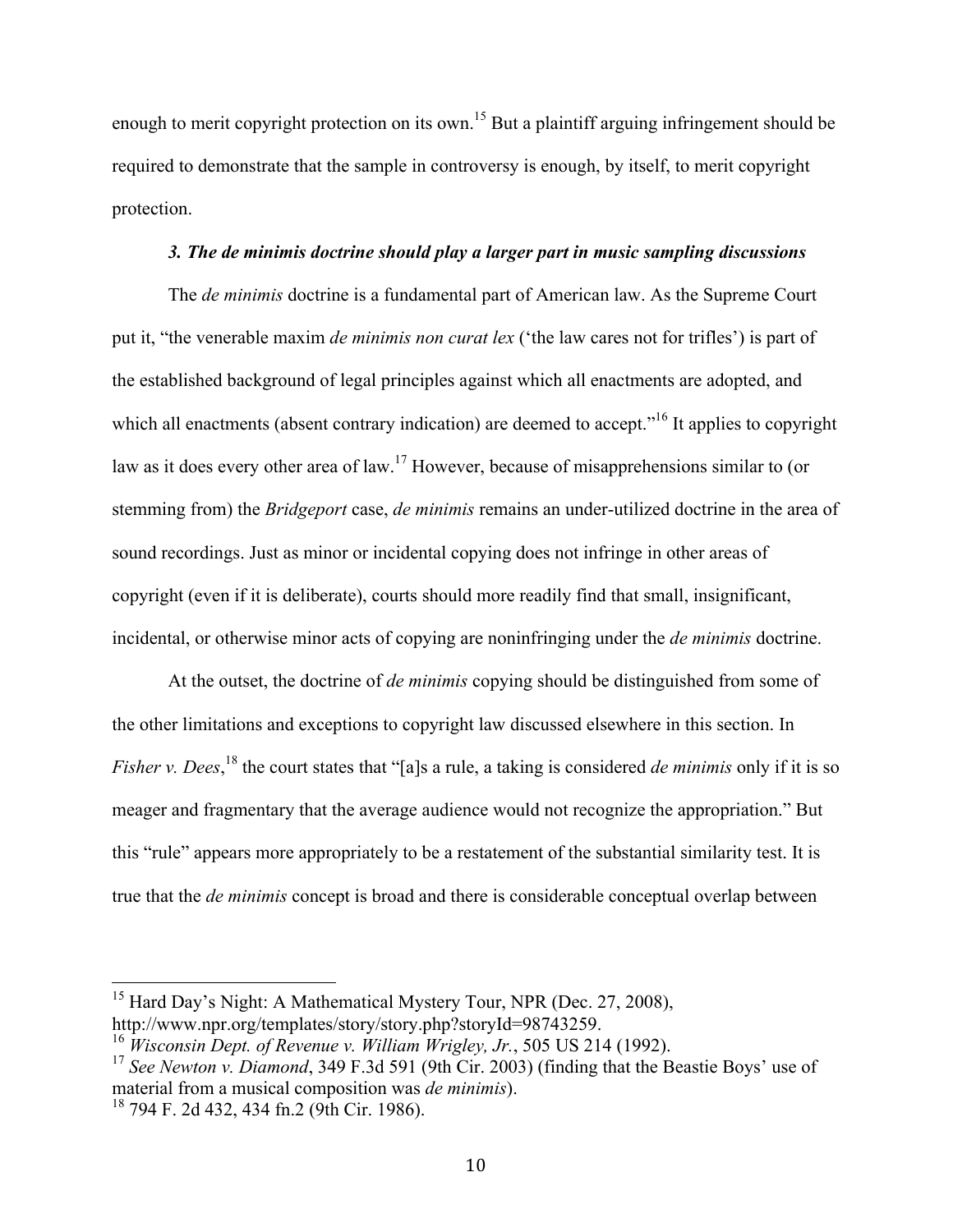enough to merit copyright protection on its own.<sup>15</sup> But a plaintiff arguing infringement should be required to demonstrate that the sample in controversy is enough, by itself, to merit copyright protection.

#### *3. The de minimis doctrine should play a larger part in music sampling discussions*

The *de minimis* doctrine is a fundamental part of American law. As the Supreme Court put it, "the venerable maxim *de minimis non curat lex* ('the law cares not for trifles') is part of the established background of legal principles against which all enactments are adopted, and which all enactments (absent contrary indication) are deemed to accept."<sup>16</sup> It applies to copyright law as it does every other area of law.<sup>17</sup> However, because of misapprehensions similar to (or stemming from) the *Bridgeport* case, *de minimis* remains an under-utilized doctrine in the area of sound recordings. Just as minor or incidental copying does not infringe in other areas of copyright (even if it is deliberate), courts should more readily find that small, insignificant, incidental, or otherwise minor acts of copying are noninfringing under the *de minimis* doctrine.

At the outset, the doctrine of *de minimis* copying should be distinguished from some of the other limitations and exceptions to copyright law discussed elsewhere in this section. In *Fisher v. Dees*, <sup>18</sup> the court states that "[a]s a rule, a taking is considered *de minimis* only if it is so meager and fragmentary that the average audience would not recognize the appropriation." But this "rule" appears more appropriately to be a restatement of the substantial similarity test. It is true that the *de minimis* concept is broad and there is considerable conceptual overlap between

<sup>&</sup>lt;sup>15</sup> Hard Day's Night: A Mathematical Mystery Tour, NPR (Dec. 27, 2008), http://www.npr.org/templates/story/story.php?storyId=98743259.

<sup>16</sup> *Wisconsin Dept. of Revenue v. William Wrigley, Jr.*, 505 US 214 (1992).

<sup>&</sup>lt;sup>17</sup> See Newton v. Diamond, 349 F.3d 591 (9th Cir. 2003) (finding that the Beastie Boys' use of material from a musical composition was *de minimis*).

<sup>18</sup> 794 F. 2d 432, 434 fn.2 (9th Cir. 1986).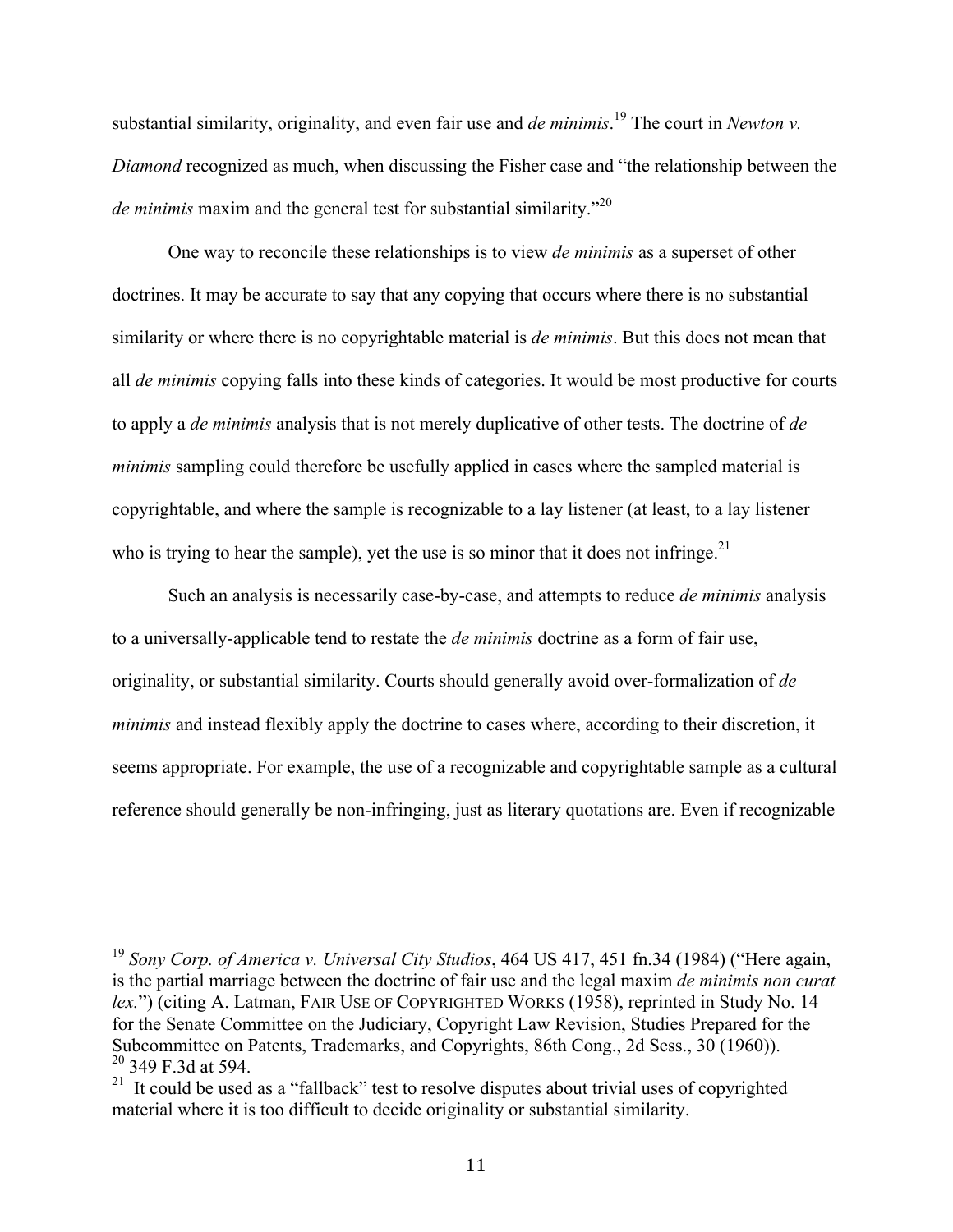substantial similarity, originality, and even fair use and *de minimis*. <sup>19</sup> The court in *Newton v. Diamond* recognized as much, when discussing the Fisher case and "the relationship between the *de minimis* maxim and the general test for substantial similarity.<sup>720</sup>

One way to reconcile these relationships is to view *de minimis* as a superset of other doctrines. It may be accurate to say that any copying that occurs where there is no substantial similarity or where there is no copyrightable material is *de minimis*. But this does not mean that all *de minimis* copying falls into these kinds of categories. It would be most productive for courts to apply a *de minimis* analysis that is not merely duplicative of other tests. The doctrine of *de minimis* sampling could therefore be usefully applied in cases where the sampled material is copyrightable, and where the sample is recognizable to a lay listener (at least, to a lay listener who is trying to hear the sample), yet the use is so minor that it does not infringe.<sup>21</sup>

Such an analysis is necessarily case-by-case, and attempts to reduce *de minimis* analysis to a universally-applicable tend to restate the *de minimis* doctrine as a form of fair use, originality, or substantial similarity. Courts should generally avoid over-formalization of *de minimis* and instead flexibly apply the doctrine to cases where, according to their discretion, it seems appropriate. For example, the use of a recognizable and copyrightable sample as a cultural reference should generally be non-infringing, just as literary quotations are. Even if recognizable

 <sup>19</sup> *Sony Corp. of America v. Universal City Studios*, 464 US 417, 451 fn.34 (1984) ("Here again, is the partial marriage between the doctrine of fair use and the legal maxim *de minimis non curat lex.*") (citing A. Latman, FAIR USE OF COPYRIGHTED WORKS (1958), reprinted in Study No. 14 for the Senate Committee on the Judiciary, Copyright Law Revision, Studies Prepared for the Subcommittee on Patents, Trademarks, and Copyrights, 86th Cong., 2d Sess., 30 (1960)). <sup>20</sup> 349 F.3d at 594.

 $21$  It could be used as a "fallback" test to resolve disputes about trivial uses of copyrighted material where it is too difficult to decide originality or substantial similarity.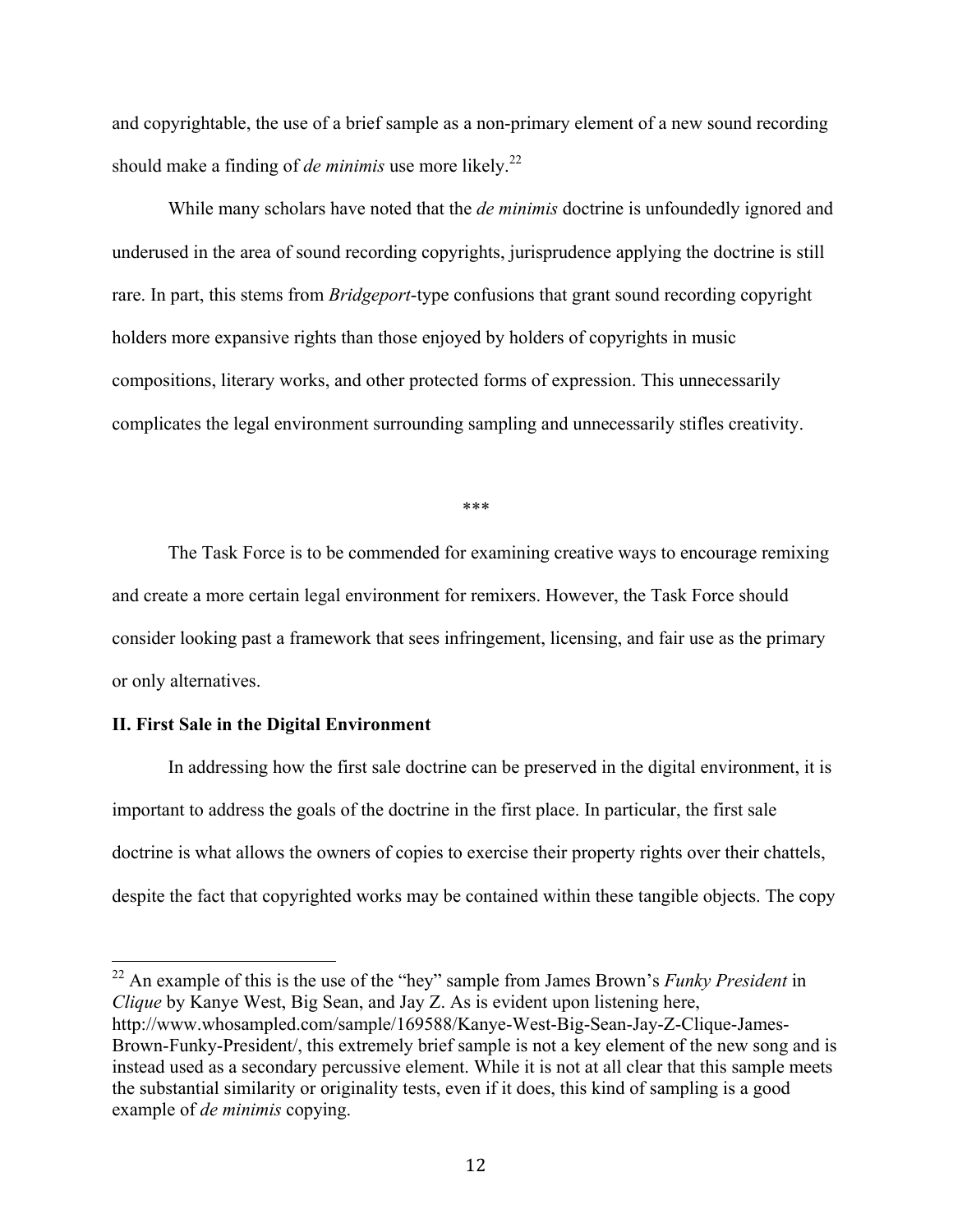and copyrightable, the use of a brief sample as a non-primary element of a new sound recording should make a finding of *de minimis* use more likely.<sup>22</sup>

While many scholars have noted that the *de minimis* doctrine is unfoundedly ignored and underused in the area of sound recording copyrights, jurisprudence applying the doctrine is still rare. In part, this stems from *Bridgeport*-type confusions that grant sound recording copyright holders more expansive rights than those enjoyed by holders of copyrights in music compositions, literary works, and other protected forms of expression. This unnecessarily complicates the legal environment surrounding sampling and unnecessarily stifles creativity.

\*\*\*

The Task Force is to be commended for examining creative ways to encourage remixing and create a more certain legal environment for remixers. However, the Task Force should consider looking past a framework that sees infringement, licensing, and fair use as the primary or only alternatives.

#### **II. First Sale in the Digital Environment**

In addressing how the first sale doctrine can be preserved in the digital environment, it is important to address the goals of the doctrine in the first place. In particular, the first sale doctrine is what allows the owners of copies to exercise their property rights over their chattels, despite the fact that copyrighted works may be contained within these tangible objects. The copy

 <sup>22</sup> An example of this is the use of the "hey" sample from James Brown's *Funky President* in *Clique* by Kanye West, Big Sean, and Jay Z. As is evident upon listening here, http://www.whosampled.com/sample/169588/Kanye-West-Big-Sean-Jay-Z-Clique-James-Brown-Funky-President/, this extremely brief sample is not a key element of the new song and is instead used as a secondary percussive element. While it is not at all clear that this sample meets the substantial similarity or originality tests, even if it does, this kind of sampling is a good example of *de minimis* copying.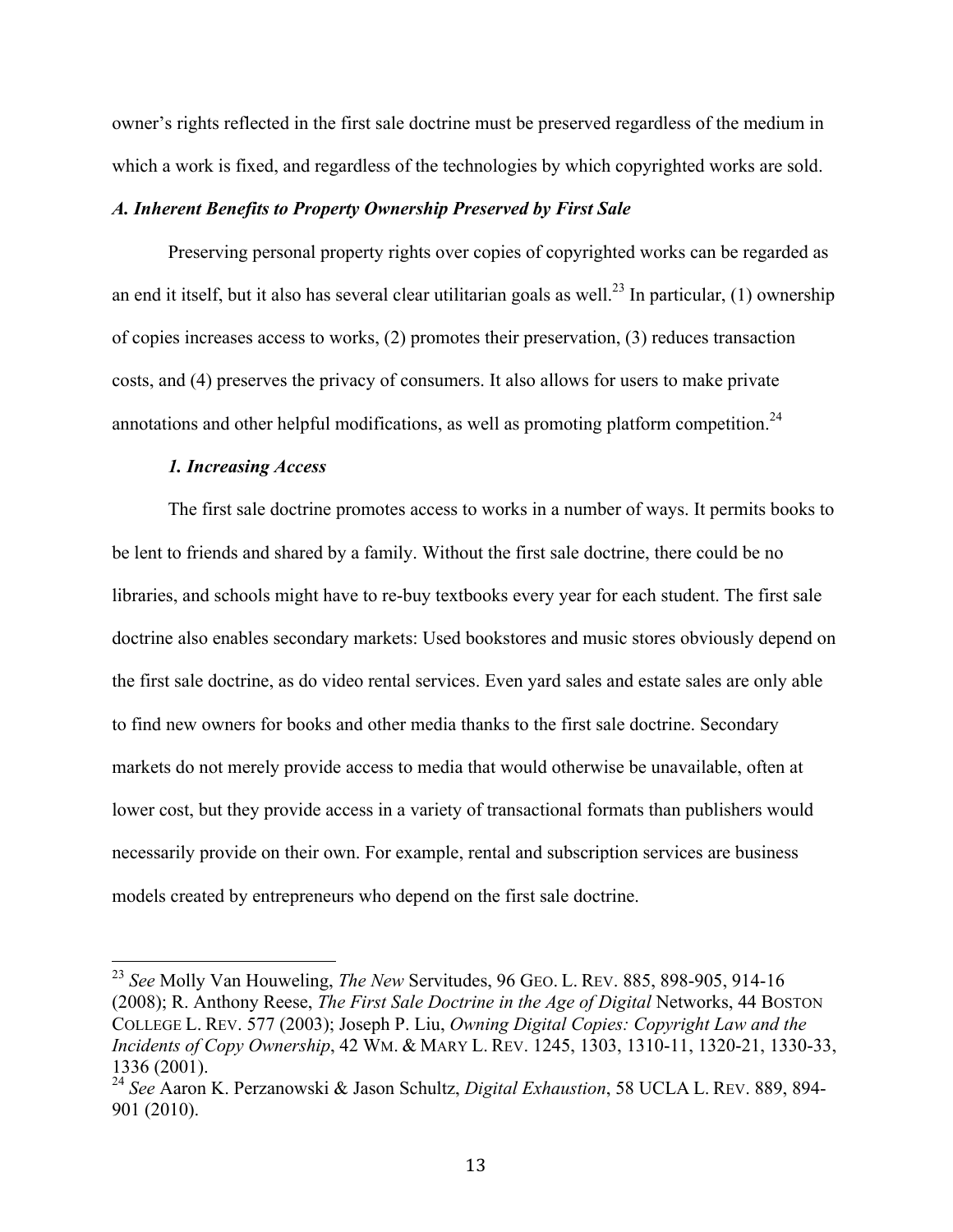owner's rights reflected in the first sale doctrine must be preserved regardless of the medium in which a work is fixed, and regardless of the technologies by which copyrighted works are sold.

#### *A. Inherent Benefits to Property Ownership Preserved by First Sale*

Preserving personal property rights over copies of copyrighted works can be regarded as an end it itself, but it also has several clear utilitarian goals as well.<sup>23</sup> In particular, (1) ownership of copies increases access to works, (2) promotes their preservation, (3) reduces transaction costs, and (4) preserves the privacy of consumers. It also allows for users to make private annotations and other helpful modifications, as well as promoting platform competition.<sup>24</sup>

#### *1. Increasing Access*

The first sale doctrine promotes access to works in a number of ways. It permits books to be lent to friends and shared by a family. Without the first sale doctrine, there could be no libraries, and schools might have to re-buy textbooks every year for each student. The first sale doctrine also enables secondary markets: Used bookstores and music stores obviously depend on the first sale doctrine, as do video rental services. Even yard sales and estate sales are only able to find new owners for books and other media thanks to the first sale doctrine. Secondary markets do not merely provide access to media that would otherwise be unavailable, often at lower cost, but they provide access in a variety of transactional formats than publishers would necessarily provide on their own. For example, rental and subscription services are business models created by entrepreneurs who depend on the first sale doctrine.

 <sup>23</sup> *See* Molly Van Houweling, *The New* Servitudes, 96 GEO. L. REV. 885, 898-905, 914-16 (2008); R. Anthony Reese, *The First Sale Doctrine in the Age of Digital* Networks, 44 BOSTON COLLEGE L. REV. 577 (2003); Joseph P. Liu, *Owning Digital Copies: Copyright Law and the Incidents of Copy Ownership*, 42 WM. & MARY L. REV. 1245, 1303, 1310-11, 1320-21, 1330-33, 1336 (2001).

<sup>24</sup> *See* Aaron K. Perzanowski & Jason Schultz, *Digital Exhaustion*, 58 UCLA L. REV. 889, 894- 901 (2010).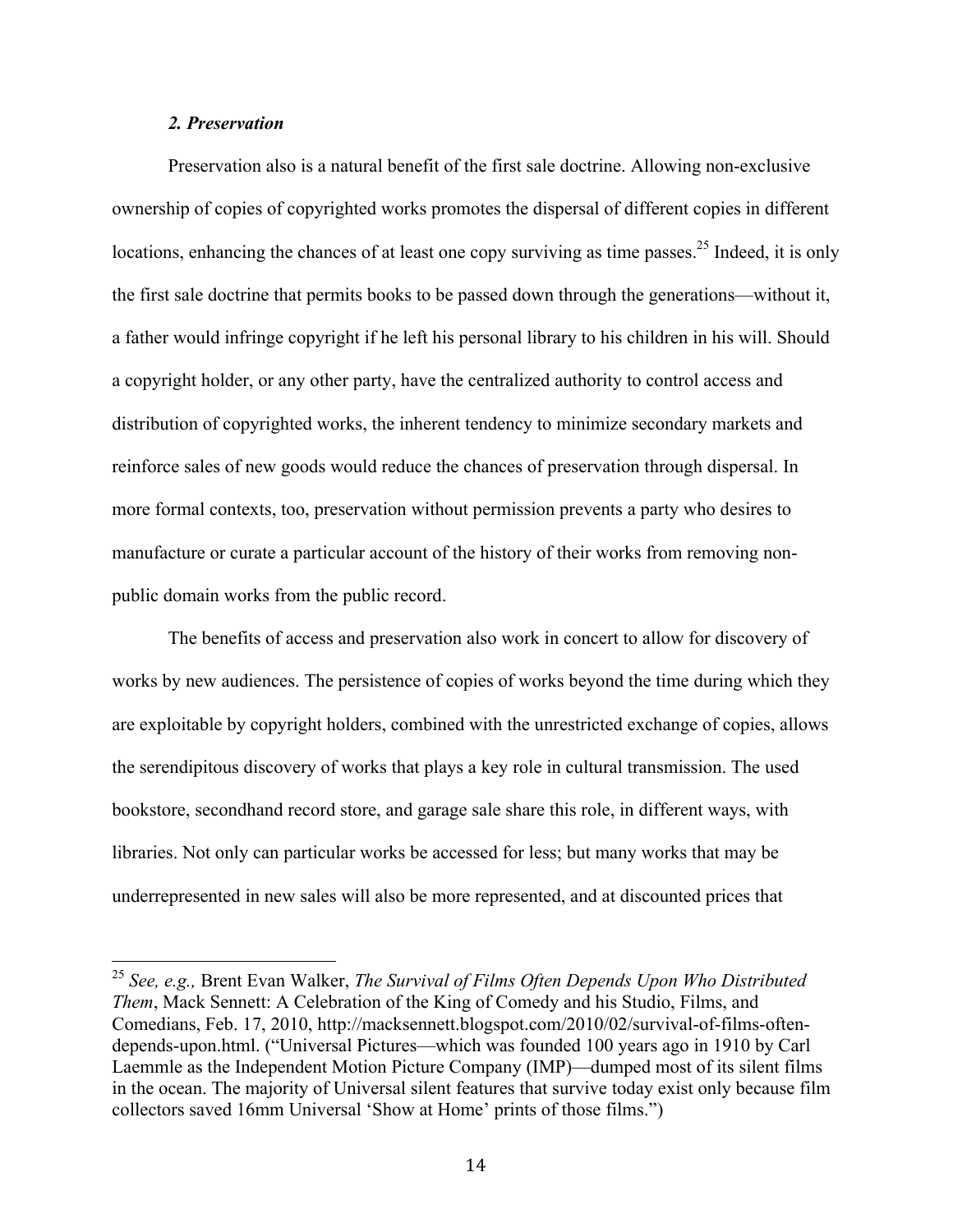#### *2. Preservation*

Preservation also is a natural benefit of the first sale doctrine. Allowing non-exclusive ownership of copies of copyrighted works promotes the dispersal of different copies in different locations, enhancing the chances of at least one copy surviving as time passes.<sup>25</sup> Indeed, it is only the first sale doctrine that permits books to be passed down through the generations—without it, a father would infringe copyright if he left his personal library to his children in his will. Should a copyright holder, or any other party, have the centralized authority to control access and distribution of copyrighted works, the inherent tendency to minimize secondary markets and reinforce sales of new goods would reduce the chances of preservation through dispersal. In more formal contexts, too, preservation without permission prevents a party who desires to manufacture or curate a particular account of the history of their works from removing nonpublic domain works from the public record.

The benefits of access and preservation also work in concert to allow for discovery of works by new audiences. The persistence of copies of works beyond the time during which they are exploitable by copyright holders, combined with the unrestricted exchange of copies, allows the serendipitous discovery of works that plays a key role in cultural transmission. The used bookstore, secondhand record store, and garage sale share this role, in different ways, with libraries. Not only can particular works be accessed for less; but many works that may be underrepresented in new sales will also be more represented, and at discounted prices that

 <sup>25</sup> *See, e.g.,* Brent Evan Walker, *The Survival of Films Often Depends Upon Who Distributed Them*, Mack Sennett: A Celebration of the King of Comedy and his Studio, Films, and Comedians, Feb. 17, 2010, http://macksennett.blogspot.com/2010/02/survival-of-films-oftendepends-upon.html. ("Universal Pictures—which was founded 100 years ago in 1910 by Carl Laemmle as the Independent Motion Picture Company (IMP)—dumped most of its silent films in the ocean. The majority of Universal silent features that survive today exist only because film collectors saved 16mm Universal 'Show at Home' prints of those films.")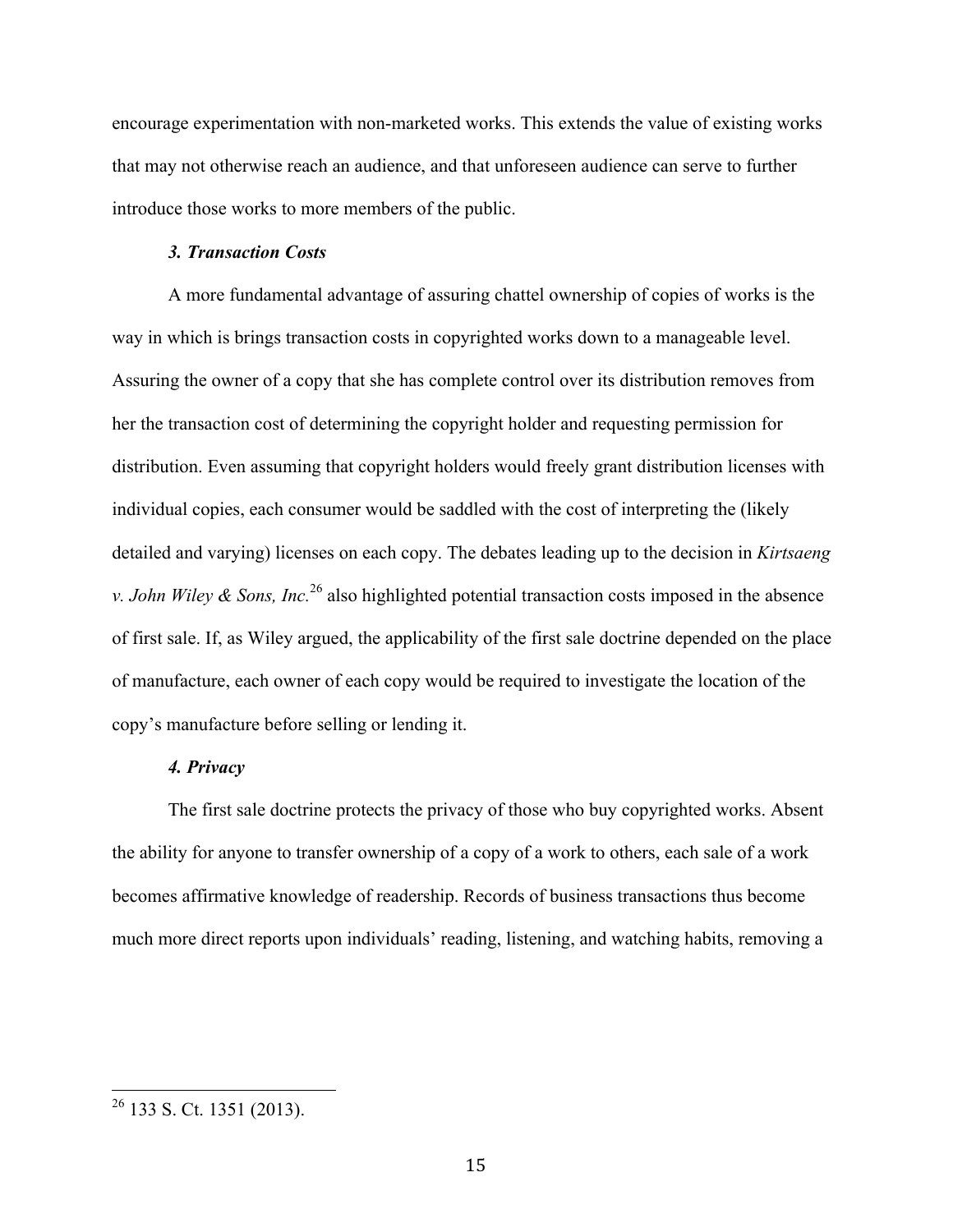encourage experimentation with non-marketed works. This extends the value of existing works that may not otherwise reach an audience, and that unforeseen audience can serve to further introduce those works to more members of the public.

#### *3. Transaction Costs*

A more fundamental advantage of assuring chattel ownership of copies of works is the way in which is brings transaction costs in copyrighted works down to a manageable level. Assuring the owner of a copy that she has complete control over its distribution removes from her the transaction cost of determining the copyright holder and requesting permission for distribution. Even assuming that copyright holders would freely grant distribution licenses with individual copies, each consumer would be saddled with the cost of interpreting the (likely detailed and varying) licenses on each copy. The debates leading up to the decision in *Kirtsaeng v. John Wiley & Sons, Inc.*<sup>26</sup> also highlighted potential transaction costs imposed in the absence of first sale. If, as Wiley argued, the applicability of the first sale doctrine depended on the place of manufacture, each owner of each copy would be required to investigate the location of the copy's manufacture before selling or lending it.

#### *4. Privacy*

The first sale doctrine protects the privacy of those who buy copyrighted works. Absent the ability for anyone to transfer ownership of a copy of a work to others, each sale of a work becomes affirmative knowledge of readership. Records of business transactions thus become much more direct reports upon individuals' reading, listening, and watching habits, removing a

 $26$  133 S. Ct. 1351 (2013).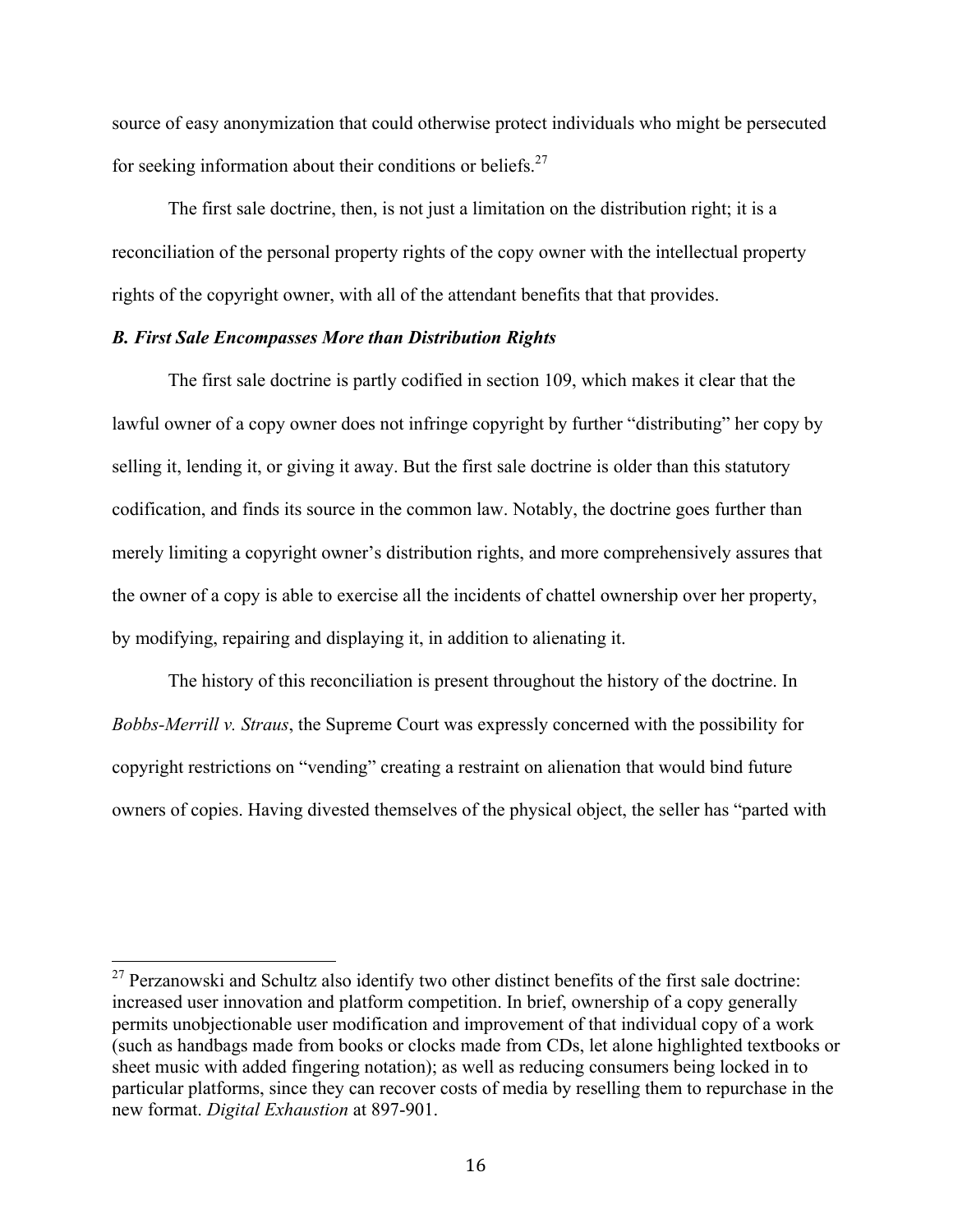source of easy anonymization that could otherwise protect individuals who might be persecuted for seeking information about their conditions or beliefs.<sup>27</sup>

The first sale doctrine, then, is not just a limitation on the distribution right; it is a reconciliation of the personal property rights of the copy owner with the intellectual property rights of the copyright owner, with all of the attendant benefits that that provides.

#### *B. First Sale Encompasses More than Distribution Rights*

The first sale doctrine is partly codified in section 109, which makes it clear that the lawful owner of a copy owner does not infringe copyright by further "distributing" her copy by selling it, lending it, or giving it away. But the first sale doctrine is older than this statutory codification, and finds its source in the common law. Notably, the doctrine goes further than merely limiting a copyright owner's distribution rights, and more comprehensively assures that the owner of a copy is able to exercise all the incidents of chattel ownership over her property, by modifying, repairing and displaying it, in addition to alienating it.

The history of this reconciliation is present throughout the history of the doctrine. In *Bobbs-Merrill v. Straus*, the Supreme Court was expressly concerned with the possibility for copyright restrictions on "vending" creating a restraint on alienation that would bind future owners of copies. Having divested themselves of the physical object, the seller has "parted with

 $27$  Perzanowski and Schultz also identify two other distinct benefits of the first sale doctrine: increased user innovation and platform competition. In brief, ownership of a copy generally permits unobjectionable user modification and improvement of that individual copy of a work (such as handbags made from books or clocks made from CDs, let alone highlighted textbooks or sheet music with added fingering notation); as well as reducing consumers being locked in to particular platforms, since they can recover costs of media by reselling them to repurchase in the new format. *Digital Exhaustion* at 897-901.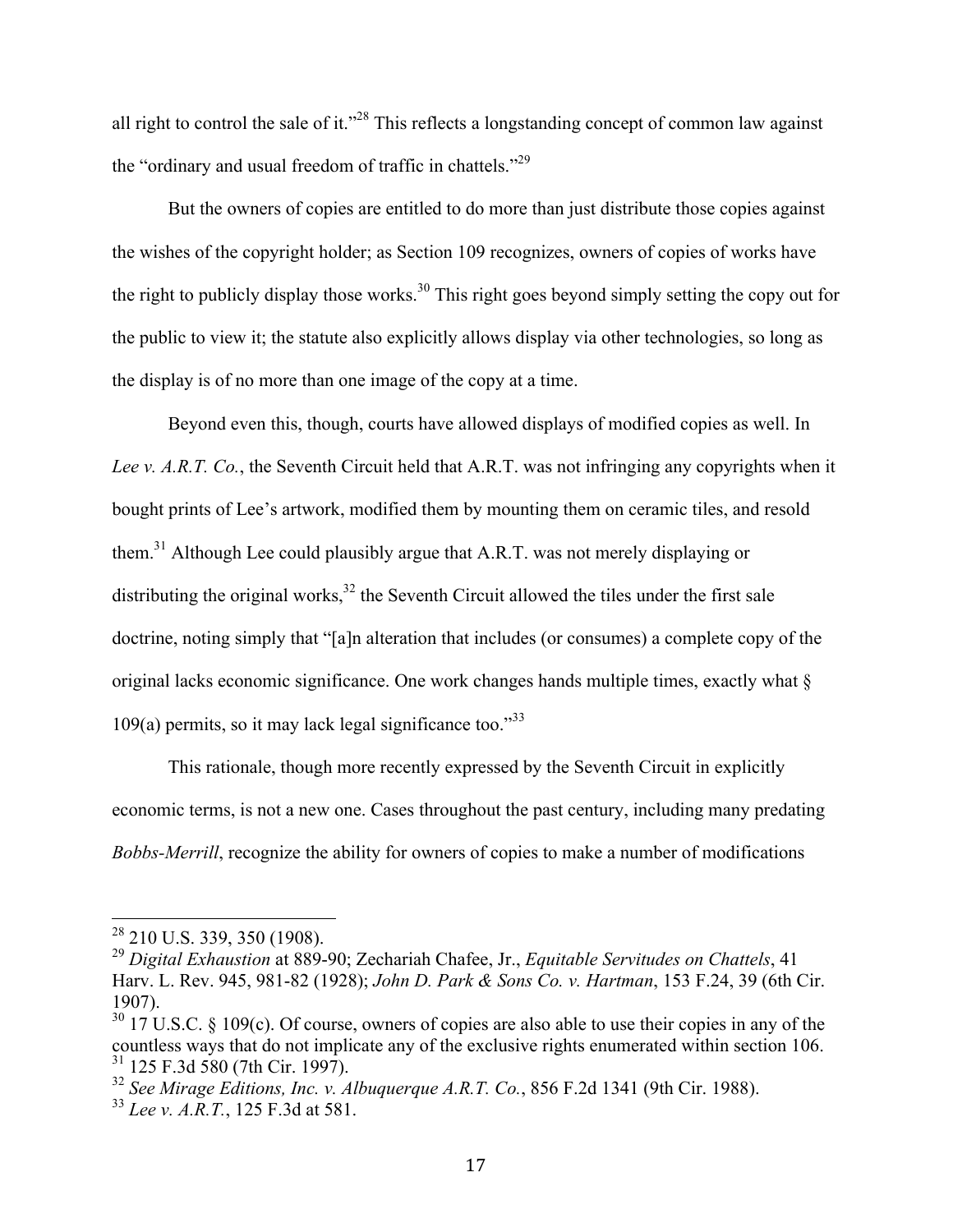all right to control the sale of it."28 This reflects a longstanding concept of common law against the "ordinary and usual freedom of traffic in chattels."29

But the owners of copies are entitled to do more than just distribute those copies against the wishes of the copyright holder; as Section 109 recognizes, owners of copies of works have the right to publicly display those works.<sup>30</sup> This right goes beyond simply setting the copy out for the public to view it; the statute also explicitly allows display via other technologies, so long as the display is of no more than one image of the copy at a time.

Beyond even this, though, courts have allowed displays of modified copies as well. In *Lee v. A.R.T. Co.*, the Seventh Circuit held that A.R.T. was not infringing any copyrights when it bought prints of Lee's artwork, modified them by mounting them on ceramic tiles, and resold them.31 Although Lee could plausibly argue that A.R.T. was not merely displaying or distributing the original works, $32$  the Seventh Circuit allowed the tiles under the first sale doctrine, noting simply that "[a]n alteration that includes (or consumes) a complete copy of the original lacks economic significance. One work changes hands multiple times, exactly what §  $109(a)$  permits, so it may lack legal significance too."<sup>33</sup>

This rationale, though more recently expressed by the Seventh Circuit in explicitly economic terms, is not a new one. Cases throughout the past century, including many predating *Bobbs-Merrill*, recognize the ability for owners of copies to make a number of modifications

 <sup>28</sup> 210 U.S. 339, 350 (1908).

<sup>29</sup> *Digital Exhaustion* at 889-90; Zechariah Chafee, Jr., *Equitable Servitudes on Chattels*, 41 Harv. L. Rev. 945, 981-82 (1928); *John D. Park & Sons Co. v. Hartman*, 153 F.24, 39 (6th Cir. 1907).

 $30\,$  17 U.S.C. § 109(c). Of course, owners of copies are also able to use their copies in any of the countless ways that do not implicate any of the exclusive rights enumerated within section 106. <sup>31</sup> 125 F.3d 580 (7th Cir. 1997).

<sup>32</sup> *See Mirage Editions, Inc. v. Albuquerque A.R.T. Co.*, 856 F.2d 1341 (9th Cir. 1988).

<sup>33</sup> *Lee v. A.R.T.*, 125 F.3d at 581.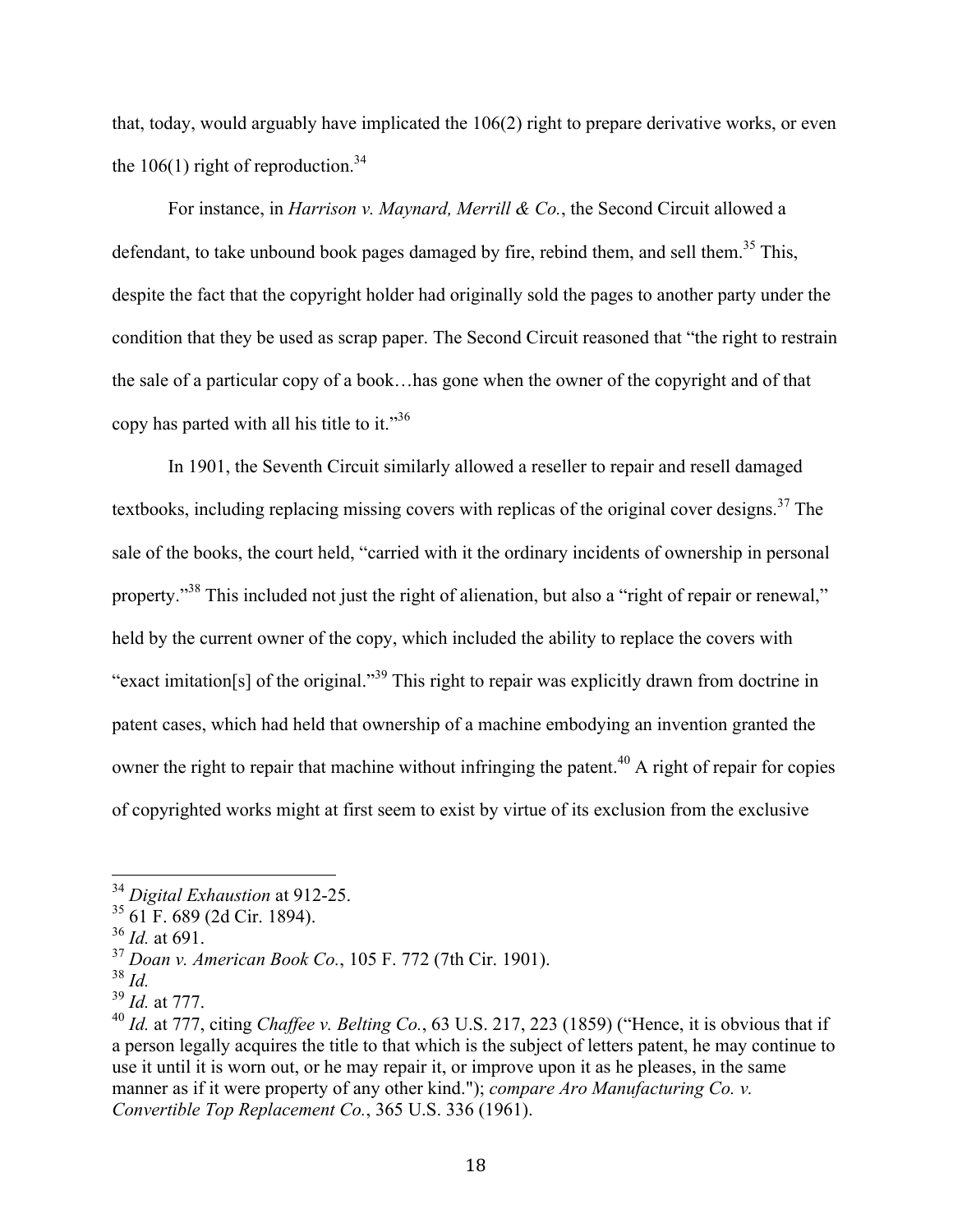that, today, would arguably have implicated the 106(2) right to prepare derivative works, or even the 106(1) right of reproduction.<sup>34</sup>

For instance, in *Harrison v. Maynard, Merrill & Co.*, the Second Circuit allowed a defendant, to take unbound book pages damaged by fire, rebind them, and sell them.<sup>35</sup> This, despite the fact that the copyright holder had originally sold the pages to another party under the condition that they be used as scrap paper. The Second Circuit reasoned that "the right to restrain the sale of a particular copy of a book…has gone when the owner of the copyright and of that copy has parted with all his title to it."36

In 1901, the Seventh Circuit similarly allowed a reseller to repair and resell damaged textbooks, including replacing missing covers with replicas of the original cover designs.<sup>37</sup> The sale of the books, the court held, "carried with it the ordinary incidents of ownership in personal property."<sup>38</sup> This included not just the right of alienation, but also a "right of repair or renewal," held by the current owner of the copy, which included the ability to replace the covers with "exact imitation[s] of the original."<sup>39</sup> This right to repair was explicitly drawn from doctrine in patent cases, which had held that ownership of a machine embodying an invention granted the owner the right to repair that machine without infringing the patent.<sup>40</sup> A right of repair for copies of copyrighted works might at first seem to exist by virtue of its exclusion from the exclusive

 <sup>34</sup> *Digital Exhaustion* at 912-25.

<sup>35</sup> 61 F. 689 (2d Cir. 1894).

<sup>36</sup> *Id.* at 691.

<sup>37</sup> *Doan v. American Book Co.*, 105 F. 772 (7th Cir. 1901).

<sup>38</sup> *Id.*

<sup>39</sup> *Id.* at 777.

<sup>40</sup> *Id.* at 777, citing *Chaffee v. Belting Co.*, 63 U.S. 217, 223 (1859) ("Hence, it is obvious that if a person legally acquires the title to that which is the subject of letters patent, he may continue to use it until it is worn out, or he may repair it, or improve upon it as he pleases, in the same manner as if it were property of any other kind."); *compare Aro Manufacturing Co. v. Convertible Top Replacement Co.*, 365 U.S. 336 (1961).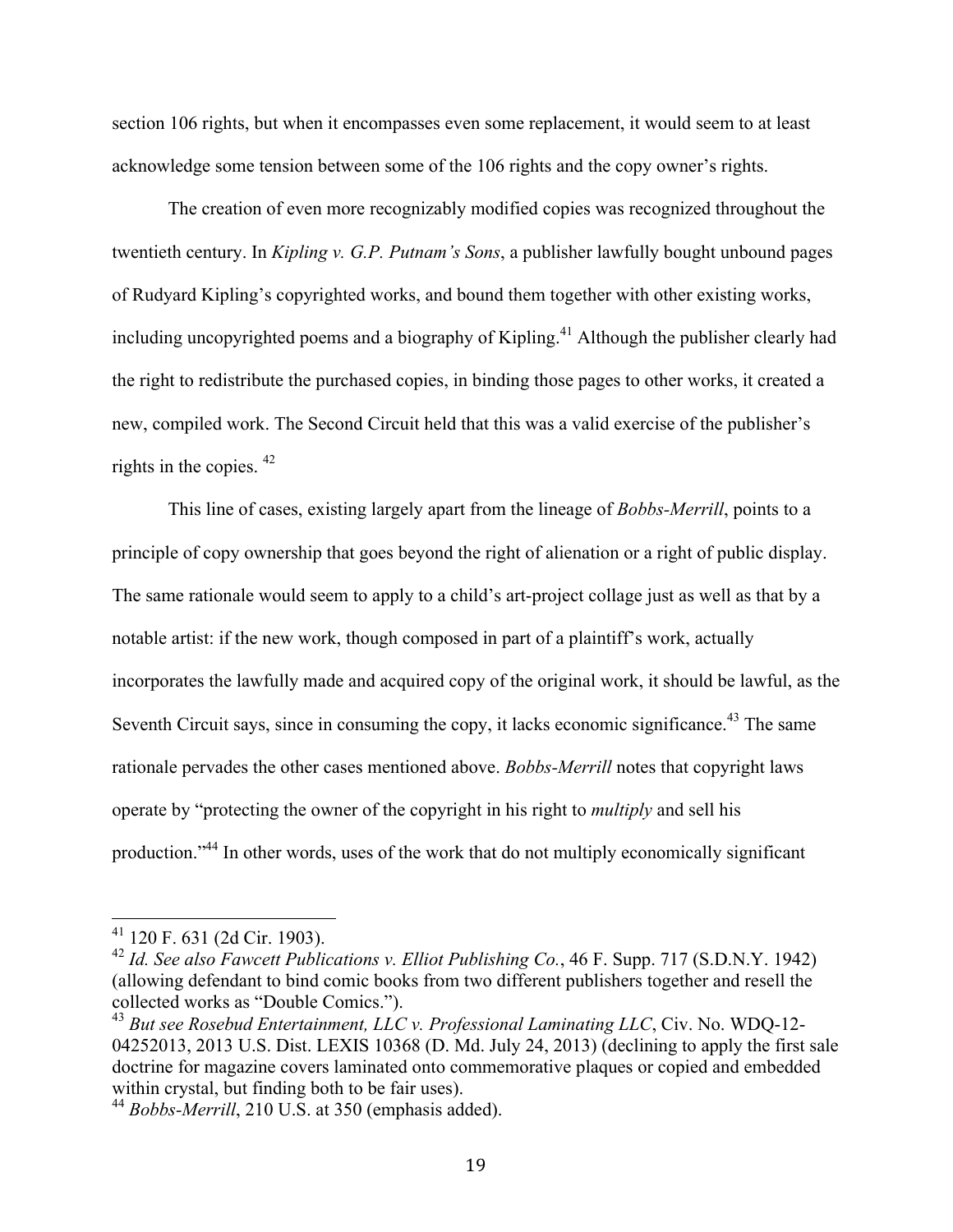section 106 rights, but when it encompasses even some replacement, it would seem to at least acknowledge some tension between some of the 106 rights and the copy owner's rights.

The creation of even more recognizably modified copies was recognized throughout the twentieth century. In *Kipling v. G.P. Putnam's Sons*, a publisher lawfully bought unbound pages of Rudyard Kipling's copyrighted works, and bound them together with other existing works, including uncopyrighted poems and a biography of Kipling.<sup>41</sup> Although the publisher clearly had the right to redistribute the purchased copies, in binding those pages to other works, it created a new, compiled work. The Second Circuit held that this was a valid exercise of the publisher's rights in the copies. 42

This line of cases, existing largely apart from the lineage of *Bobbs-Merrill*, points to a principle of copy ownership that goes beyond the right of alienation or a right of public display. The same rationale would seem to apply to a child's art-project collage just as well as that by a notable artist: if the new work, though composed in part of a plaintiff's work, actually incorporates the lawfully made and acquired copy of the original work, it should be lawful, as the Seventh Circuit says, since in consuming the copy, it lacks economic significance.<sup>43</sup> The same rationale pervades the other cases mentioned above. *Bobbs-Merrill* notes that copyright laws operate by "protecting the owner of the copyright in his right to *multiply* and sell his production."44 In other words, uses of the work that do not multiply economically significant

 <sup>41</sup> 120 F. 631 (2d Cir. 1903).

<sup>42</sup> *Id. See also Fawcett Publications v. Elliot Publishing Co.*, 46 F. Supp. 717 (S.D.N.Y. 1942) (allowing defendant to bind comic books from two different publishers together and resell the collected works as "Double Comics.").

<sup>43</sup> *But see Rosebud Entertainment, LLC v. Professional Laminating LLC*, Civ. No. WDQ-12- 04252013, 2013 U.S. Dist. LEXIS 10368 (D. Md. July 24, 2013) (declining to apply the first sale doctrine for magazine covers laminated onto commemorative plaques or copied and embedded within crystal, but finding both to be fair uses).

<sup>44</sup> *Bobbs-Merrill*, 210 U.S. at 350 (emphasis added).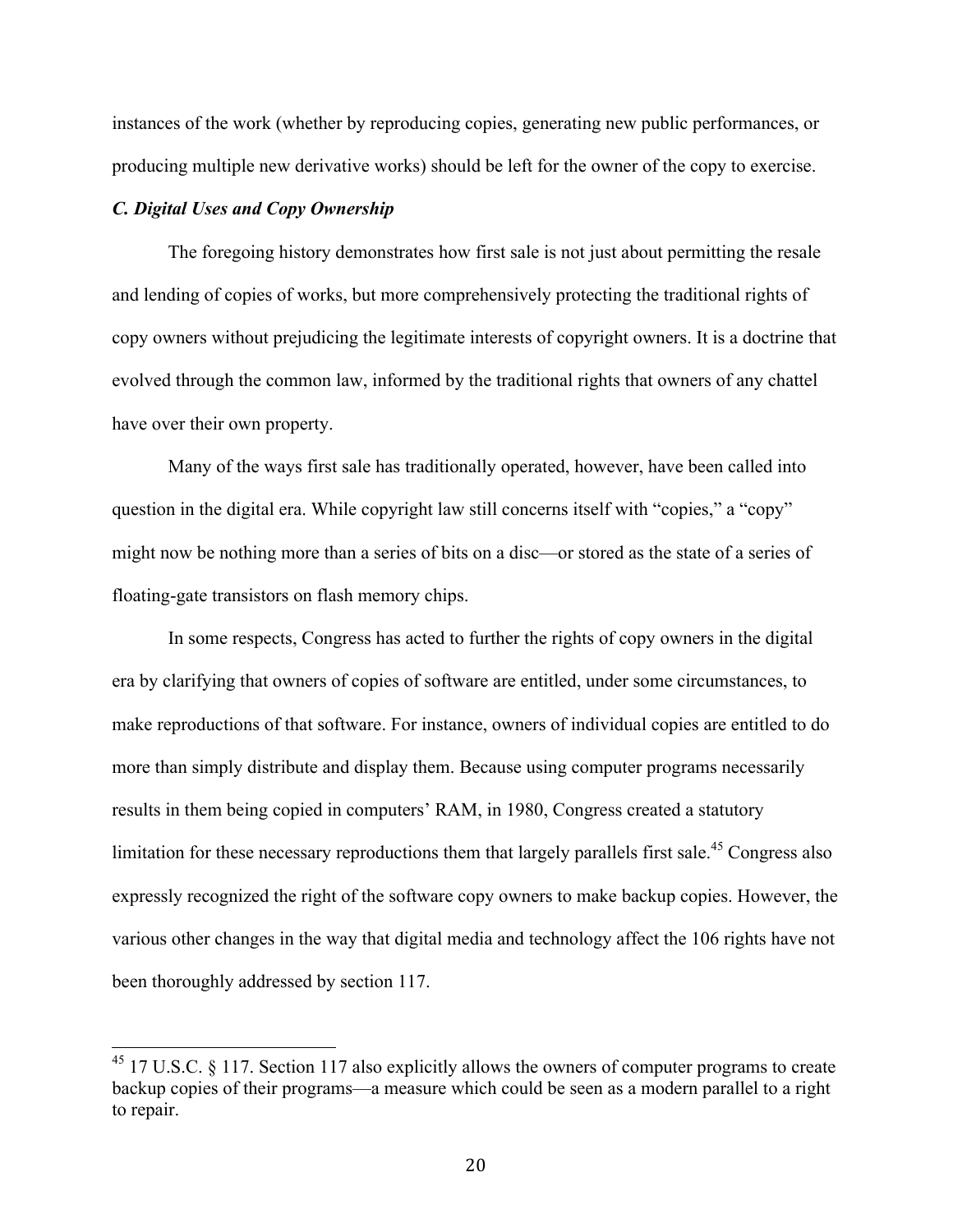instances of the work (whether by reproducing copies, generating new public performances, or producing multiple new derivative works) should be left for the owner of the copy to exercise.

#### *C. Digital Uses and Copy Ownership*

The foregoing history demonstrates how first sale is not just about permitting the resale and lending of copies of works, but more comprehensively protecting the traditional rights of copy owners without prejudicing the legitimate interests of copyright owners. It is a doctrine that evolved through the common law, informed by the traditional rights that owners of any chattel have over their own property.

Many of the ways first sale has traditionally operated, however, have been called into question in the digital era. While copyright law still concerns itself with "copies," a "copy" might now be nothing more than a series of bits on a disc—or stored as the state of a series of floating-gate transistors on flash memory chips.

In some respects, Congress has acted to further the rights of copy owners in the digital era by clarifying that owners of copies of software are entitled, under some circumstances, to make reproductions of that software. For instance, owners of individual copies are entitled to do more than simply distribute and display them. Because using computer programs necessarily results in them being copied in computers' RAM, in 1980, Congress created a statutory limitation for these necessary reproductions them that largely parallels first sale.<sup>45</sup> Congress also expressly recognized the right of the software copy owners to make backup copies. However, the various other changes in the way that digital media and technology affect the 106 rights have not been thoroughly addressed by section 117.

 $^{45}$  17 U.S.C. § 117. Section 117 also explicitly allows the owners of computer programs to create backup copies of their programs—a measure which could be seen as a modern parallel to a right to repair.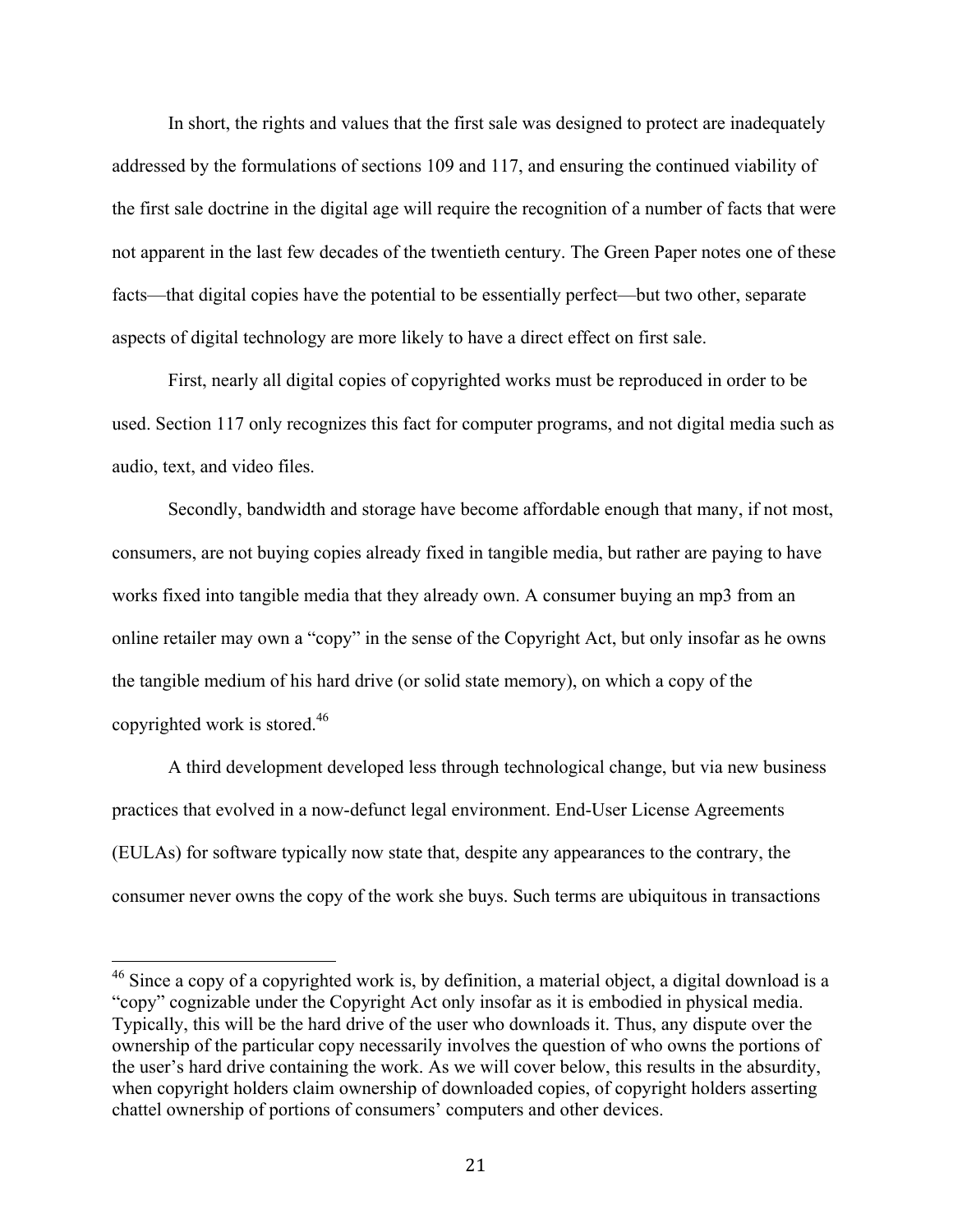In short, the rights and values that the first sale was designed to protect are inadequately addressed by the formulations of sections 109 and 117, and ensuring the continued viability of the first sale doctrine in the digital age will require the recognition of a number of facts that were not apparent in the last few decades of the twentieth century. The Green Paper notes one of these facts—that digital copies have the potential to be essentially perfect—but two other, separate aspects of digital technology are more likely to have a direct effect on first sale.

First, nearly all digital copies of copyrighted works must be reproduced in order to be used. Section 117 only recognizes this fact for computer programs, and not digital media such as audio, text, and video files.

Secondly, bandwidth and storage have become affordable enough that many, if not most, consumers, are not buying copies already fixed in tangible media, but rather are paying to have works fixed into tangible media that they already own. A consumer buying an mp3 from an online retailer may own a "copy" in the sense of the Copyright Act, but only insofar as he owns the tangible medium of his hard drive (or solid state memory), on which a copy of the copyrighted work is stored.46

A third development developed less through technological change, but via new business practices that evolved in a now-defunct legal environment. End-User License Agreements (EULAs) for software typically now state that, despite any appearances to the contrary, the consumer never owns the copy of the work she buys. Such terms are ubiquitous in transactions

<sup>&</sup>lt;sup>46</sup> Since a copy of a copyrighted work is, by definition, a material object, a digital download is a "copy" cognizable under the Copyright Act only insofar as it is embodied in physical media. Typically, this will be the hard drive of the user who downloads it. Thus, any dispute over the ownership of the particular copy necessarily involves the question of who owns the portions of the user's hard drive containing the work. As we will cover below, this results in the absurdity, when copyright holders claim ownership of downloaded copies, of copyright holders asserting chattel ownership of portions of consumers' computers and other devices.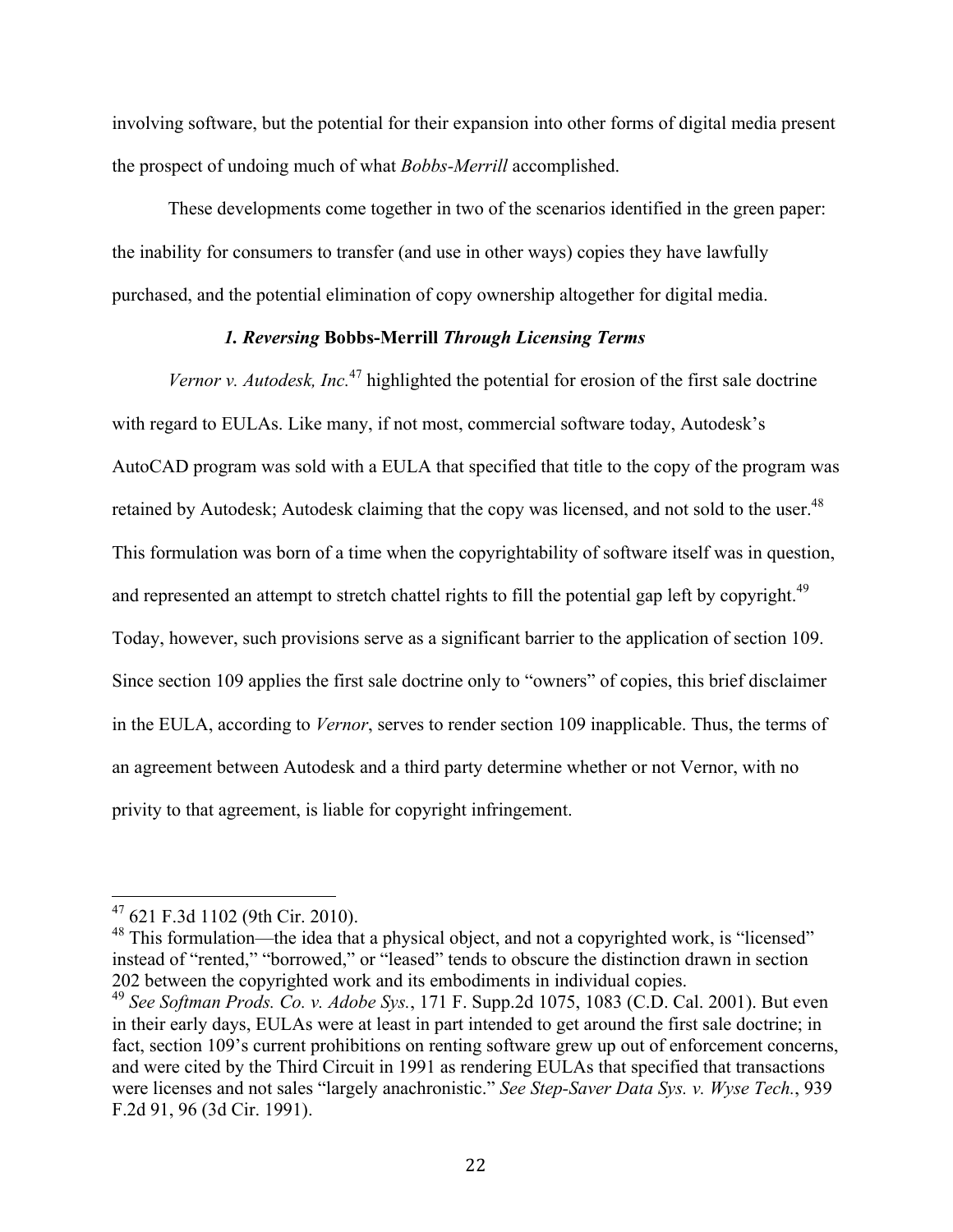involving software, but the potential for their expansion into other forms of digital media present the prospect of undoing much of what *Bobbs-Merrill* accomplished.

These developments come together in two of the scenarios identified in the green paper: the inability for consumers to transfer (and use in other ways) copies they have lawfully purchased, and the potential elimination of copy ownership altogether for digital media.

## *1. Reversing* **Bobbs-Merrill** *Through Licensing Terms*

*Vernor v. Autodesk, Inc.*<sup>47</sup> highlighted the potential for erosion of the first sale doctrine with regard to EULAs. Like many, if not most, commercial software today, Autodesk's AutoCAD program was sold with a EULA that specified that title to the copy of the program was retained by Autodesk; Autodesk claiming that the copy was licensed, and not sold to the user.<sup>48</sup> This formulation was born of a time when the copyrightability of software itself was in question, and represented an attempt to stretch chattel rights to fill the potential gap left by copyright.<sup>49</sup> Today, however, such provisions serve as a significant barrier to the application of section 109. Since section 109 applies the first sale doctrine only to "owners" of copies, this brief disclaimer in the EULA, according to *Vernor*, serves to render section 109 inapplicable. Thus, the terms of an agreement between Autodesk and a third party determine whether or not Vernor, with no privity to that agreement, is liable for copyright infringement.

 <sup>47</sup> 621 F.3d 1102 (9th Cir. 2010).

<sup>&</sup>lt;sup>48</sup> This formulation—the idea that a physical object, and not a copyrighted work, is "licensed" instead of "rented," "borrowed," or "leased" tends to obscure the distinction drawn in section 202 between the copyrighted work and its embodiments in individual copies.

<sup>49</sup> *See Softman Prods. Co. v. Adobe Sys.*, 171 F. Supp.2d 1075, 1083 (C.D. Cal. 2001). But even in their early days, EULAs were at least in part intended to get around the first sale doctrine; in fact, section 109's current prohibitions on renting software grew up out of enforcement concerns, and were cited by the Third Circuit in 1991 as rendering EULAs that specified that transactions were licenses and not sales "largely anachronistic." *See Step-Saver Data Sys. v. Wyse Tech.*, 939 F.2d 91, 96 (3d Cir. 1991).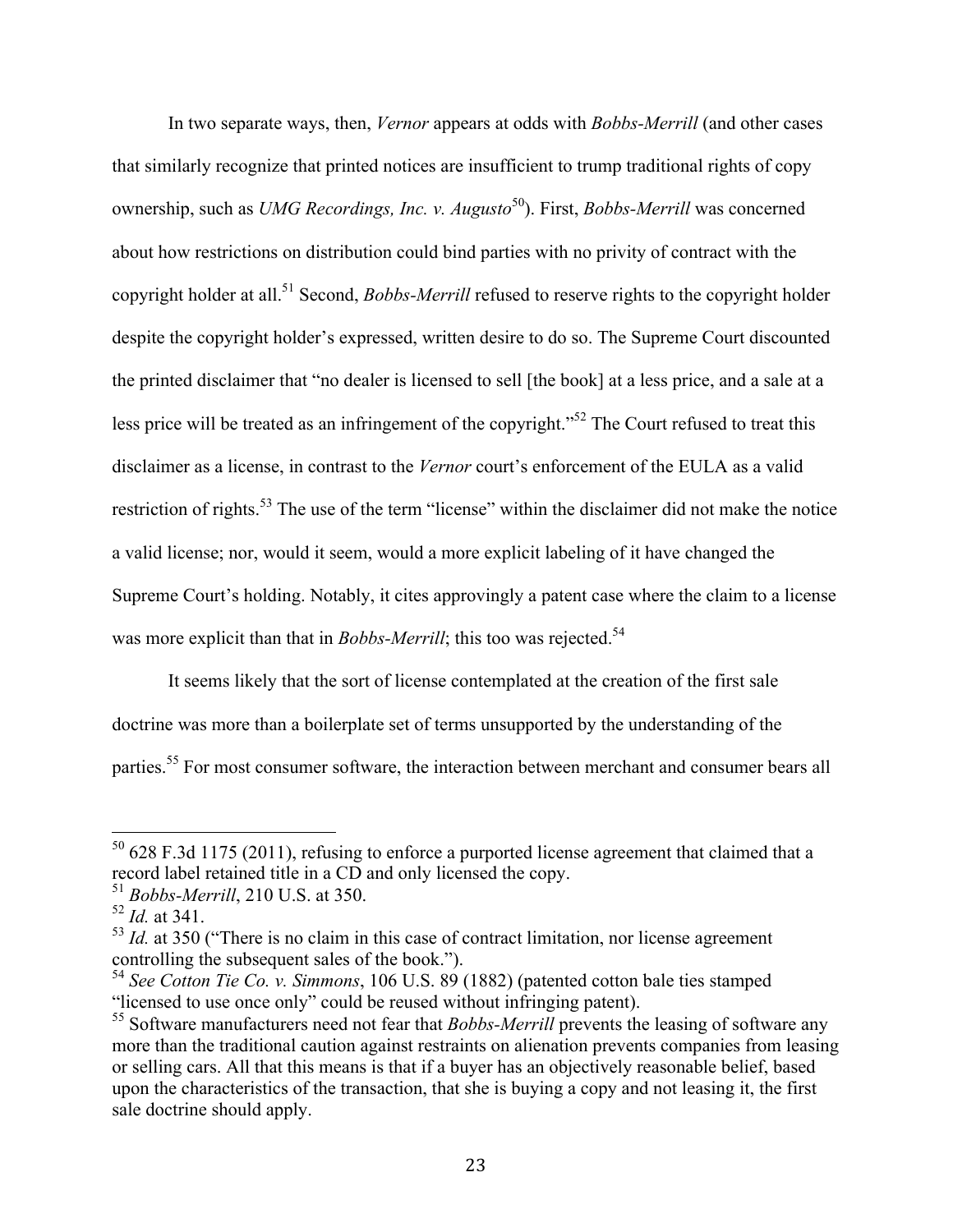In two separate ways, then, *Vernor* appears at odds with *Bobbs-Merrill* (and other cases that similarly recognize that printed notices are insufficient to trump traditional rights of copy ownership, such as *UMG Recordings, Inc. v. Augusto*<sup>50</sup>). First, *Bobbs-Merrill* was concerned about how restrictions on distribution could bind parties with no privity of contract with the copyright holder at all.<sup>51</sup> Second, *Bobbs-Merrill* refused to reserve rights to the copyright holder despite the copyright holder's expressed, written desire to do so. The Supreme Court discounted the printed disclaimer that "no dealer is licensed to sell [the book] at a less price, and a sale at a less price will be treated as an infringement of the copyright."<sup>52</sup> The Court refused to treat this disclaimer as a license, in contrast to the *Vernor* court's enforcement of the EULA as a valid restriction of rights.<sup>53</sup> The use of the term "license" within the disclaimer did not make the notice a valid license; nor, would it seem, would a more explicit labeling of it have changed the Supreme Court's holding. Notably, it cites approvingly a patent case where the claim to a license was more explicit than that in *Bobbs-Merrill*; this too was rejected.<sup>54</sup>

It seems likely that the sort of license contemplated at the creation of the first sale doctrine was more than a boilerplate set of terms unsupported by the understanding of the parties.<sup>55</sup> For most consumer software, the interaction between merchant and consumer bears all

 $50$  628 F.3d 1175 (2011), refusing to enforce a purported license agreement that claimed that a record label retained title in a CD and only licensed the copy.

<sup>51</sup> *Bobbs-Merrill*, 210 U.S. at 350.

<sup>52</sup> *Id.* at 341.

<sup>&</sup>lt;sup>53</sup> *Id.* at 350 ("There is no claim in this case of contract limitation, nor license agreement controlling the subsequent sales of the book.").

<sup>54</sup> *See Cotton Tie Co. v. Simmons*, 106 U.S. 89 (1882) (patented cotton bale ties stamped "licensed to use once only" could be reused without infringing patent).

<sup>&</sup>lt;sup>55</sup> Software manufacturers need not fear that *Bobbs-Merrill* prevents the leasing of software any more than the traditional caution against restraints on alienation prevents companies from leasing or selling cars. All that this means is that if a buyer has an objectively reasonable belief, based upon the characteristics of the transaction, that she is buying a copy and not leasing it, the first sale doctrine should apply.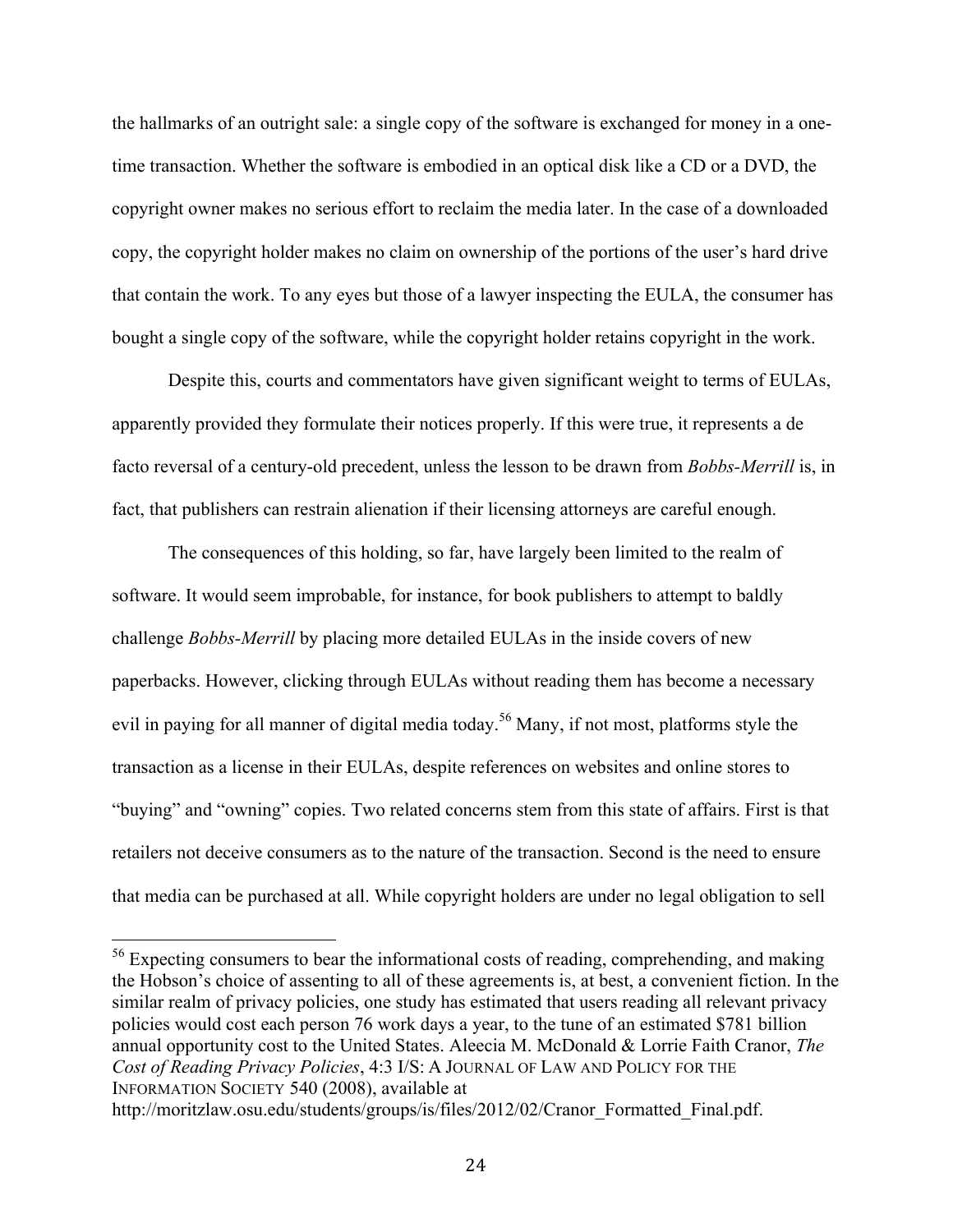the hallmarks of an outright sale: a single copy of the software is exchanged for money in a onetime transaction. Whether the software is embodied in an optical disk like a CD or a DVD, the copyright owner makes no serious effort to reclaim the media later. In the case of a downloaded copy, the copyright holder makes no claim on ownership of the portions of the user's hard drive that contain the work. To any eyes but those of a lawyer inspecting the EULA, the consumer has bought a single copy of the software, while the copyright holder retains copyright in the work.

Despite this, courts and commentators have given significant weight to terms of EULAs, apparently provided they formulate their notices properly. If this were true, it represents a de facto reversal of a century-old precedent, unless the lesson to be drawn from *Bobbs-Merrill* is, in fact, that publishers can restrain alienation if their licensing attorneys are careful enough.

The consequences of this holding, so far, have largely been limited to the realm of software. It would seem improbable, for instance, for book publishers to attempt to baldly challenge *Bobbs-Merrill* by placing more detailed EULAs in the inside covers of new paperbacks. However, clicking through EULAs without reading them has become a necessary evil in paying for all manner of digital media today.<sup>56</sup> Many, if not most, platforms style the transaction as a license in their EULAs, despite references on websites and online stores to "buying" and "owning" copies. Two related concerns stem from this state of affairs. First is that retailers not deceive consumers as to the nature of the transaction. Second is the need to ensure that media can be purchased at all. While copyright holders are under no legal obligation to sell

<sup>&</sup>lt;sup>56</sup> Expecting consumers to bear the informational costs of reading, comprehending, and making the Hobson's choice of assenting to all of these agreements is, at best, a convenient fiction. In the similar realm of privacy policies, one study has estimated that users reading all relevant privacy policies would cost each person 76 work days a year, to the tune of an estimated \$781 billion annual opportunity cost to the United States. Aleecia M. McDonald & Lorrie Faith Cranor, *The Cost of Reading Privacy Policies*, 4:3 I/S: A JOURNAL OF LAW AND POLICY FOR THE INFORMATION SOCIETY 540 (2008), available at

http://moritzlaw.osu.edu/students/groups/is/files/2012/02/Cranor\_Formatted\_Final.pdf.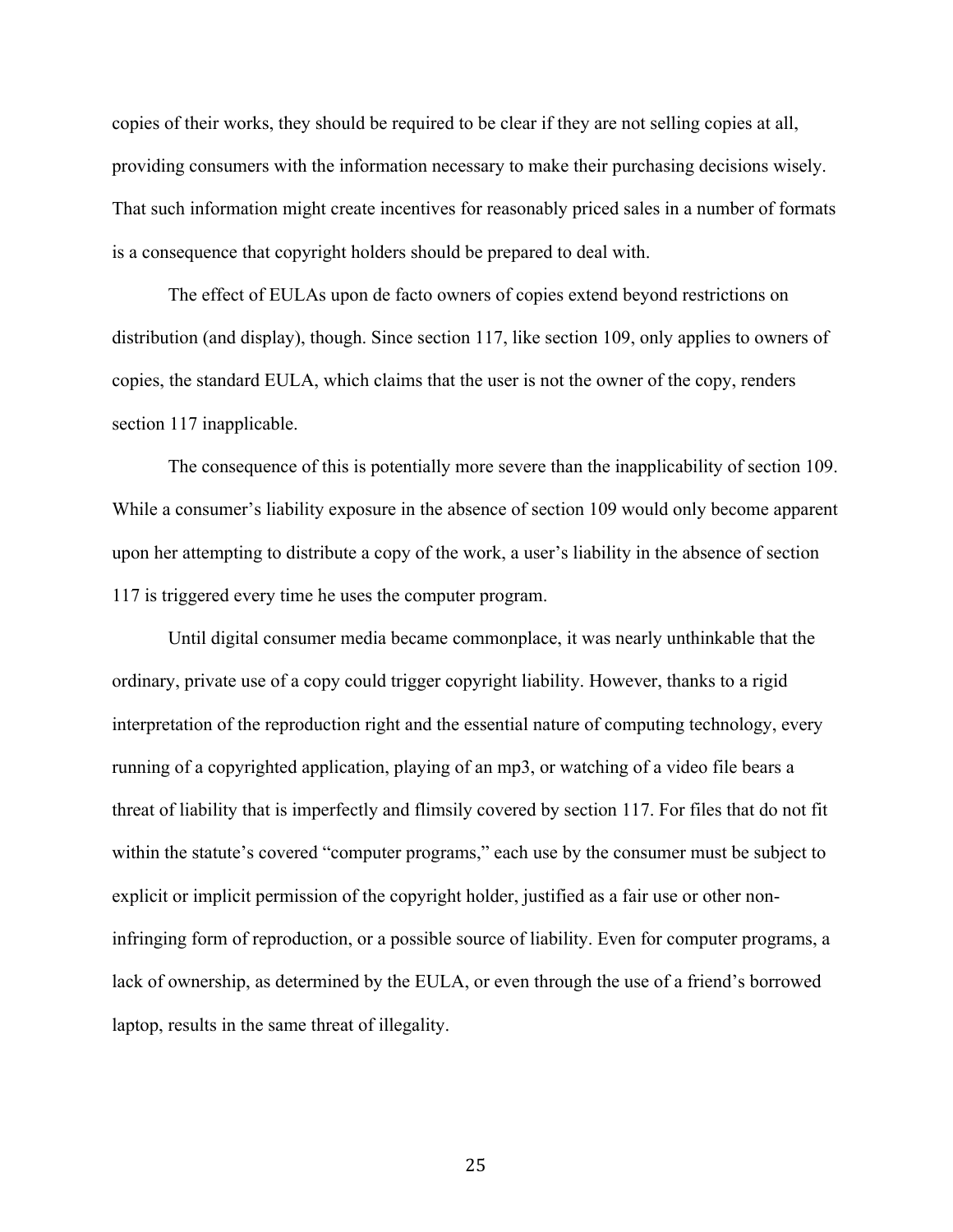copies of their works, they should be required to be clear if they are not selling copies at all, providing consumers with the information necessary to make their purchasing decisions wisely. That such information might create incentives for reasonably priced sales in a number of formats is a consequence that copyright holders should be prepared to deal with.

The effect of EULAs upon de facto owners of copies extend beyond restrictions on distribution (and display), though. Since section 117, like section 109, only applies to owners of copies, the standard EULA, which claims that the user is not the owner of the copy, renders section 117 inapplicable.

The consequence of this is potentially more severe than the inapplicability of section 109. While a consumer's liability exposure in the absence of section 109 would only become apparent upon her attempting to distribute a copy of the work, a user's liability in the absence of section 117 is triggered every time he uses the computer program.

Until digital consumer media became commonplace, it was nearly unthinkable that the ordinary, private use of a copy could trigger copyright liability. However, thanks to a rigid interpretation of the reproduction right and the essential nature of computing technology, every running of a copyrighted application, playing of an mp3, or watching of a video file bears a threat of liability that is imperfectly and flimsily covered by section 117. For files that do not fit within the statute's covered "computer programs," each use by the consumer must be subject to explicit or implicit permission of the copyright holder, justified as a fair use or other noninfringing form of reproduction, or a possible source of liability. Even for computer programs, a lack of ownership, as determined by the EULA, or even through the use of a friend's borrowed laptop, results in the same threat of illegality.

25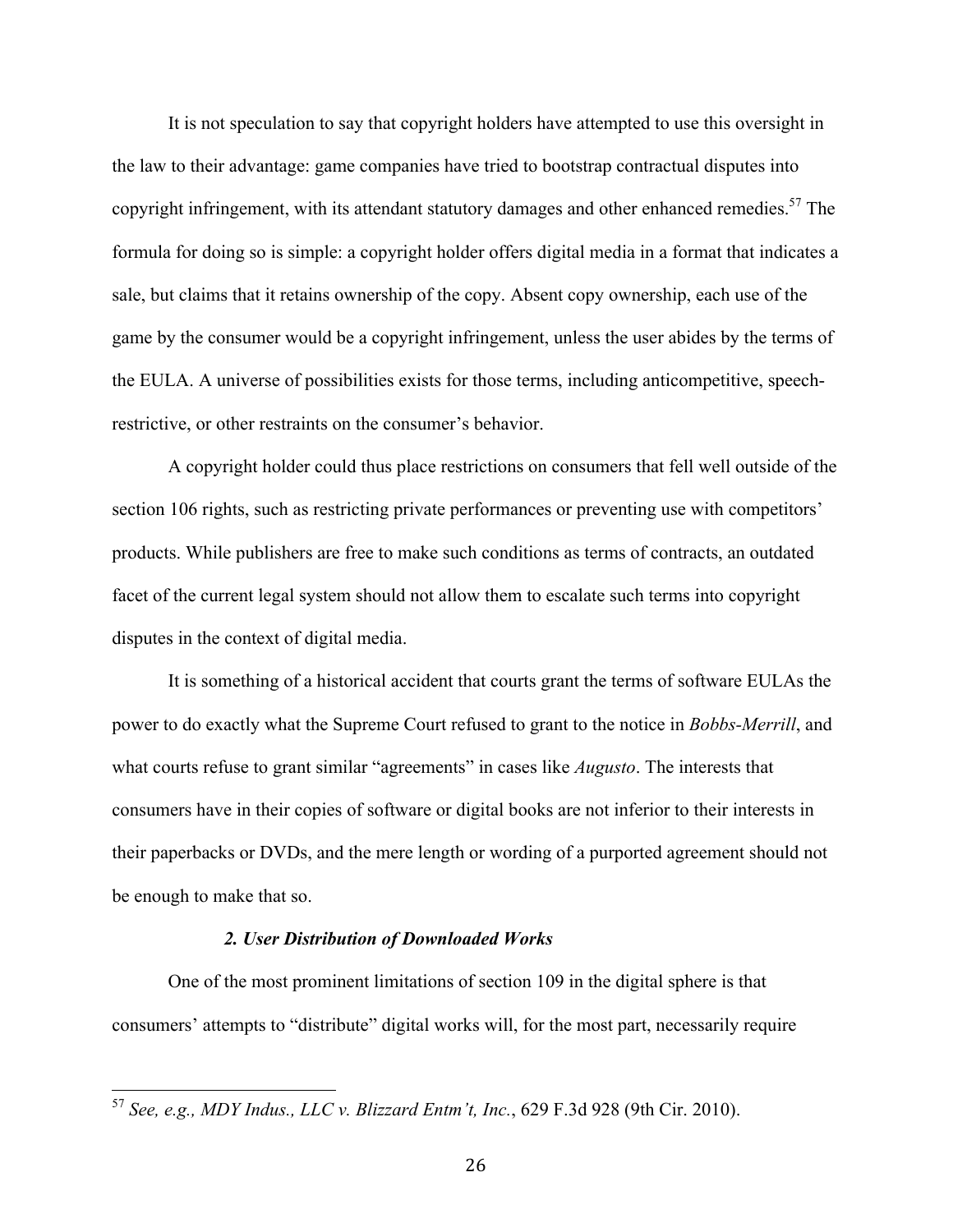It is not speculation to say that copyright holders have attempted to use this oversight in the law to their advantage: game companies have tried to bootstrap contractual disputes into copyright infringement, with its attendant statutory damages and other enhanced remedies.<sup>57</sup> The formula for doing so is simple: a copyright holder offers digital media in a format that indicates a sale, but claims that it retains ownership of the copy. Absent copy ownership, each use of the game by the consumer would be a copyright infringement, unless the user abides by the terms of the EULA. A universe of possibilities exists for those terms, including anticompetitive, speechrestrictive, or other restraints on the consumer's behavior.

A copyright holder could thus place restrictions on consumers that fell well outside of the section 106 rights, such as restricting private performances or preventing use with competitors' products. While publishers are free to make such conditions as terms of contracts, an outdated facet of the current legal system should not allow them to escalate such terms into copyright disputes in the context of digital media.

It is something of a historical accident that courts grant the terms of software EULAs the power to do exactly what the Supreme Court refused to grant to the notice in *Bobbs-Merrill*, and what courts refuse to grant similar "agreements" in cases like *Augusto*. The interests that consumers have in their copies of software or digital books are not inferior to their interests in their paperbacks or DVDs, and the mere length or wording of a purported agreement should not be enough to make that so.

#### *2. User Distribution of Downloaded Works*

One of the most prominent limitations of section 109 in the digital sphere is that consumers' attempts to "distribute" digital works will, for the most part, necessarily require

 <sup>57</sup> *See, e.g., MDY Indus., LLC v. Blizzard Entm't, Inc.*, 629 F.3d 928 (9th Cir. 2010).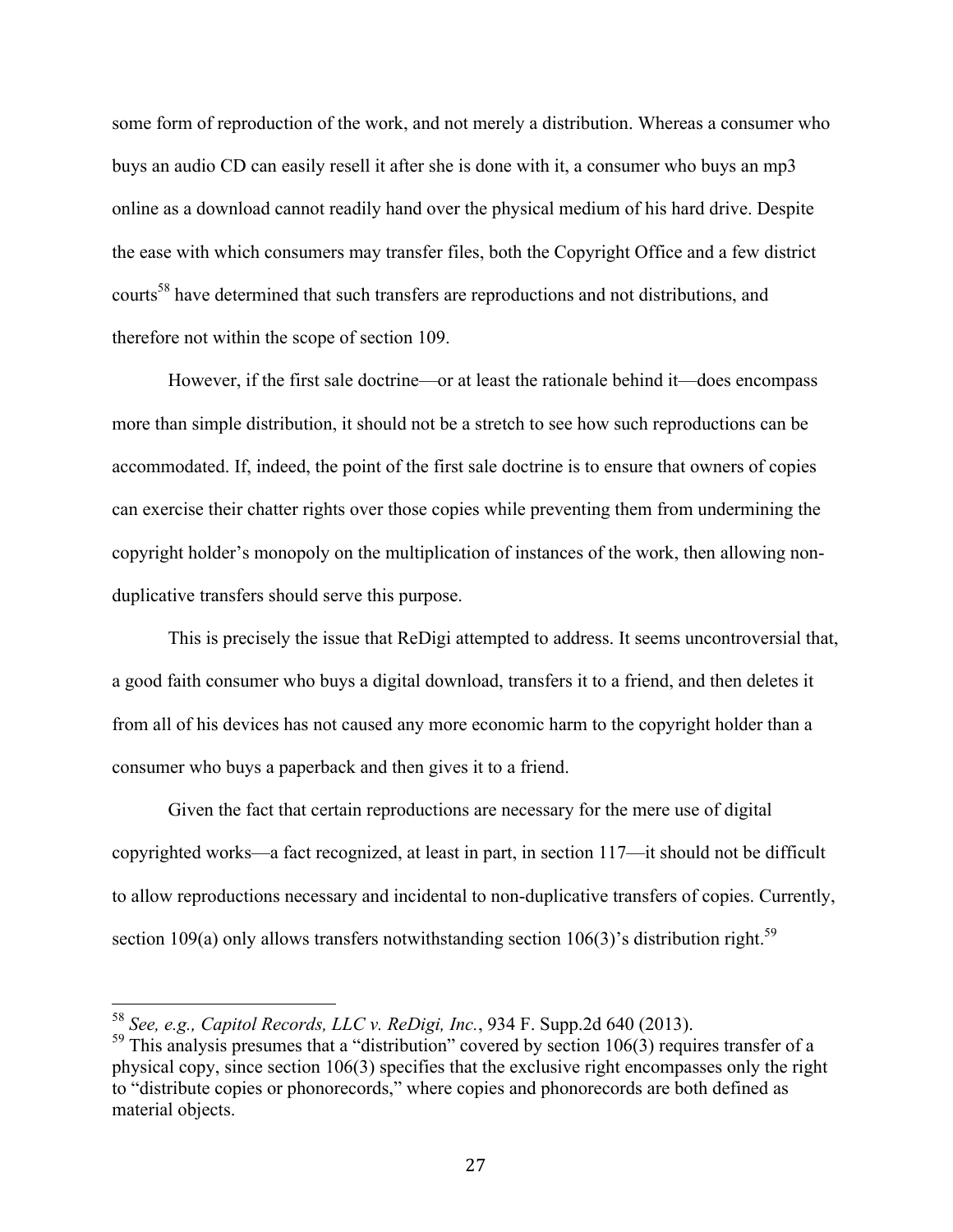some form of reproduction of the work, and not merely a distribution. Whereas a consumer who buys an audio CD can easily resell it after she is done with it, a consumer who buys an mp3 online as a download cannot readily hand over the physical medium of his hard drive. Despite the ease with which consumers may transfer files, both the Copyright Office and a few district courts<sup>58</sup> have determined that such transfers are reproductions and not distributions, and therefore not within the scope of section 109.

However, if the first sale doctrine—or at least the rationale behind it—does encompass more than simple distribution, it should not be a stretch to see how such reproductions can be accommodated. If, indeed, the point of the first sale doctrine is to ensure that owners of copies can exercise their chatter rights over those copies while preventing them from undermining the copyright holder's monopoly on the multiplication of instances of the work, then allowing nonduplicative transfers should serve this purpose.

This is precisely the issue that ReDigi attempted to address. It seems uncontroversial that, a good faith consumer who buys a digital download, transfers it to a friend, and then deletes it from all of his devices has not caused any more economic harm to the copyright holder than a consumer who buys a paperback and then gives it to a friend.

Given the fact that certain reproductions are necessary for the mere use of digital copyrighted works—a fact recognized, at least in part, in section 117—it should not be difficult to allow reproductions necessary and incidental to non-duplicative transfers of copies. Currently, section 109(a) only allows transfers notwithstanding section 106(3)'s distribution right.<sup>59</sup>

 <sup>58</sup> *See, e.g., Capitol Records, LLC v. ReDigi, Inc.*, 934 F. Supp.2d 640 (2013).

 $59$  This analysis presumes that a "distribution" covered by section 106(3) requires transfer of a physical copy, since section 106(3) specifies that the exclusive right encompasses only the right to "distribute copies or phonorecords," where copies and phonorecords are both defined as material objects.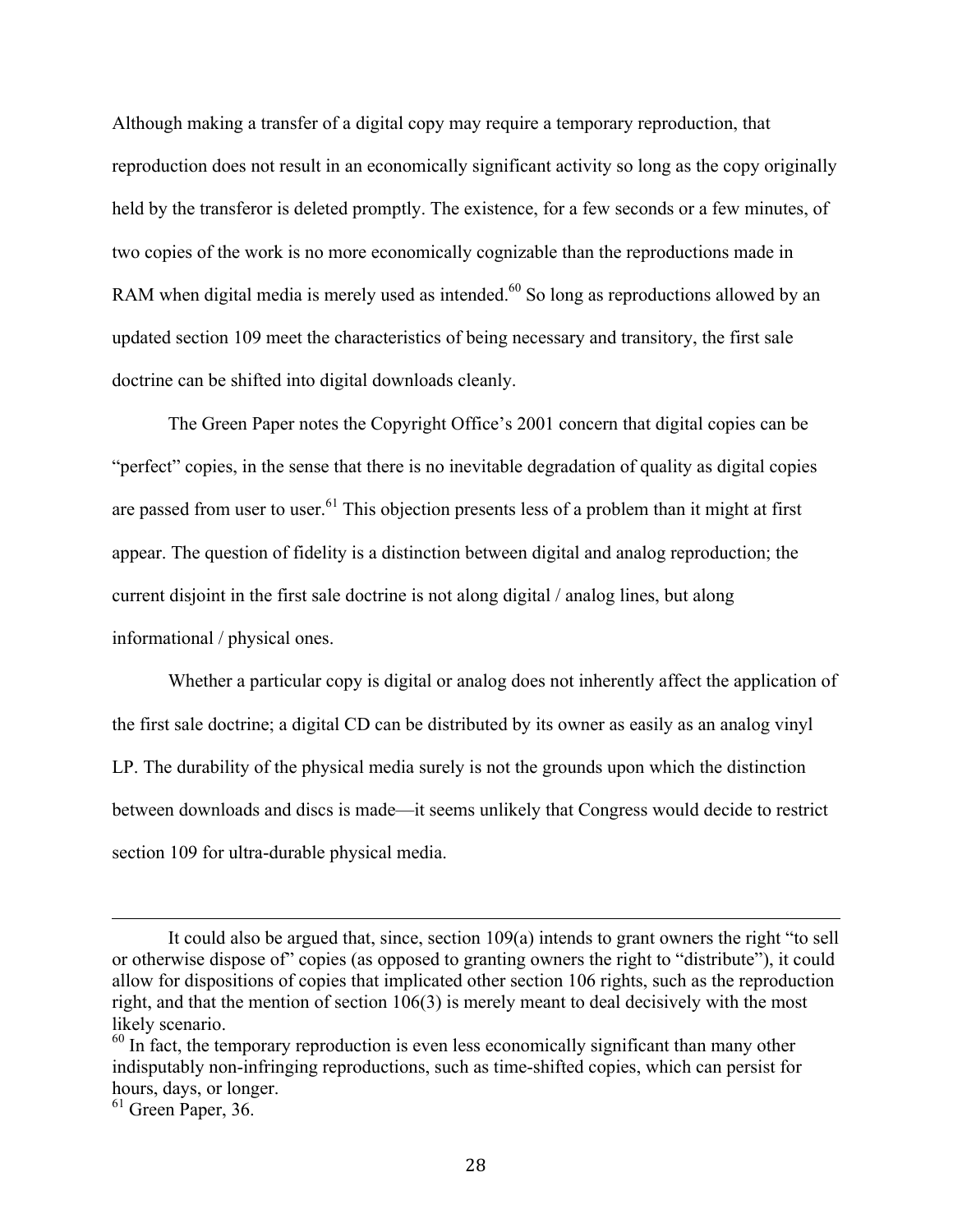Although making a transfer of a digital copy may require a temporary reproduction, that reproduction does not result in an economically significant activity so long as the copy originally held by the transferor is deleted promptly. The existence, for a few seconds or a few minutes, of two copies of the work is no more economically cognizable than the reproductions made in RAM when digital media is merely used as intended. $60$  So long as reproductions allowed by an updated section 109 meet the characteristics of being necessary and transitory, the first sale doctrine can be shifted into digital downloads cleanly.

The Green Paper notes the Copyright Office's 2001 concern that digital copies can be "perfect" copies, in the sense that there is no inevitable degradation of quality as digital copies are passed from user to user.<sup>61</sup> This objection presents less of a problem than it might at first appear. The question of fidelity is a distinction between digital and analog reproduction; the current disjoint in the first sale doctrine is not along digital / analog lines, but along informational / physical ones.

Whether a particular copy is digital or analog does not inherently affect the application of the first sale doctrine; a digital CD can be distributed by its owner as easily as an analog vinyl LP. The durability of the physical media surely is not the grounds upon which the distinction between downloads and discs is made—it seems unlikely that Congress would decide to restrict section 109 for ultra-durable physical media.

<u> 1989 - Andrea San Andrea San Andrea San Andrea San Andrea San Andrea San Andrea San Andrea San Andrea San An</u>

It could also be argued that, since, section 109(a) intends to grant owners the right "to sell or otherwise dispose of" copies (as opposed to granting owners the right to "distribute"), it could allow for dispositions of copies that implicated other section 106 rights, such as the reproduction right, and that the mention of section 106(3) is merely meant to deal decisively with the most likely scenario.

 $60$  In fact, the temporary reproduction is even less economically significant than many other indisputably non-infringing reproductions, such as time-shifted copies, which can persist for hours, days, or longer.

 $61$  Green Paper, 36.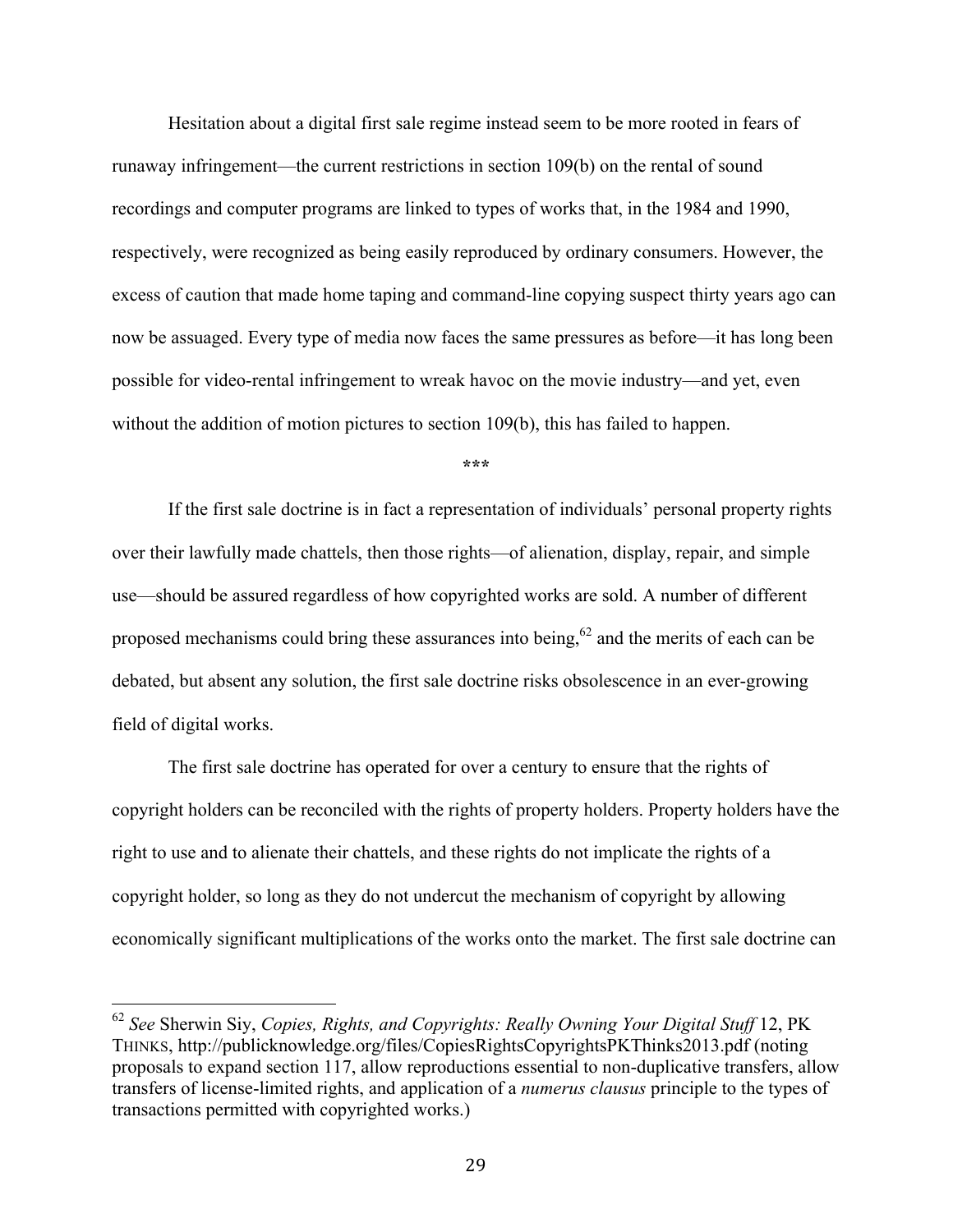Hesitation about a digital first sale regime instead seem to be more rooted in fears of runaway infringement—the current restrictions in section 109(b) on the rental of sound recordings and computer programs are linked to types of works that, in the 1984 and 1990, respectively, were recognized as being easily reproduced by ordinary consumers. However, the excess of caution that made home taping and command-line copying suspect thirty years ago can now be assuaged. Every type of media now faces the same pressures as before—it has long been possible for video-rental infringement to wreak havoc on the movie industry—and yet, even without the addition of motion pictures to section 109(b), this has failed to happen.

**\*\*\***

If the first sale doctrine is in fact a representation of individuals' personal property rights over their lawfully made chattels, then those rights—of alienation, display, repair, and simple use—should be assured regardless of how copyrighted works are sold. A number of different proposed mechanisms could bring these assurances into being,  $62$  and the merits of each can be debated, but absent any solution, the first sale doctrine risks obsolescence in an ever-growing field of digital works.

The first sale doctrine has operated for over a century to ensure that the rights of copyright holders can be reconciled with the rights of property holders. Property holders have the right to use and to alienate their chattels, and these rights do not implicate the rights of a copyright holder, so long as they do not undercut the mechanism of copyright by allowing economically significant multiplications of the works onto the market. The first sale doctrine can

 <sup>62</sup> *See* Sherwin Siy, *Copies, Rights, and Copyrights: Really Owning Your Digital Stuff* 12, PK THINKS, http://publicknowledge.org/files/CopiesRightsCopyrightsPKThinks2013.pdf (noting proposals to expand section 117, allow reproductions essential to non-duplicative transfers, allow transfers of license-limited rights, and application of a *numerus clausus* principle to the types of transactions permitted with copyrighted works.)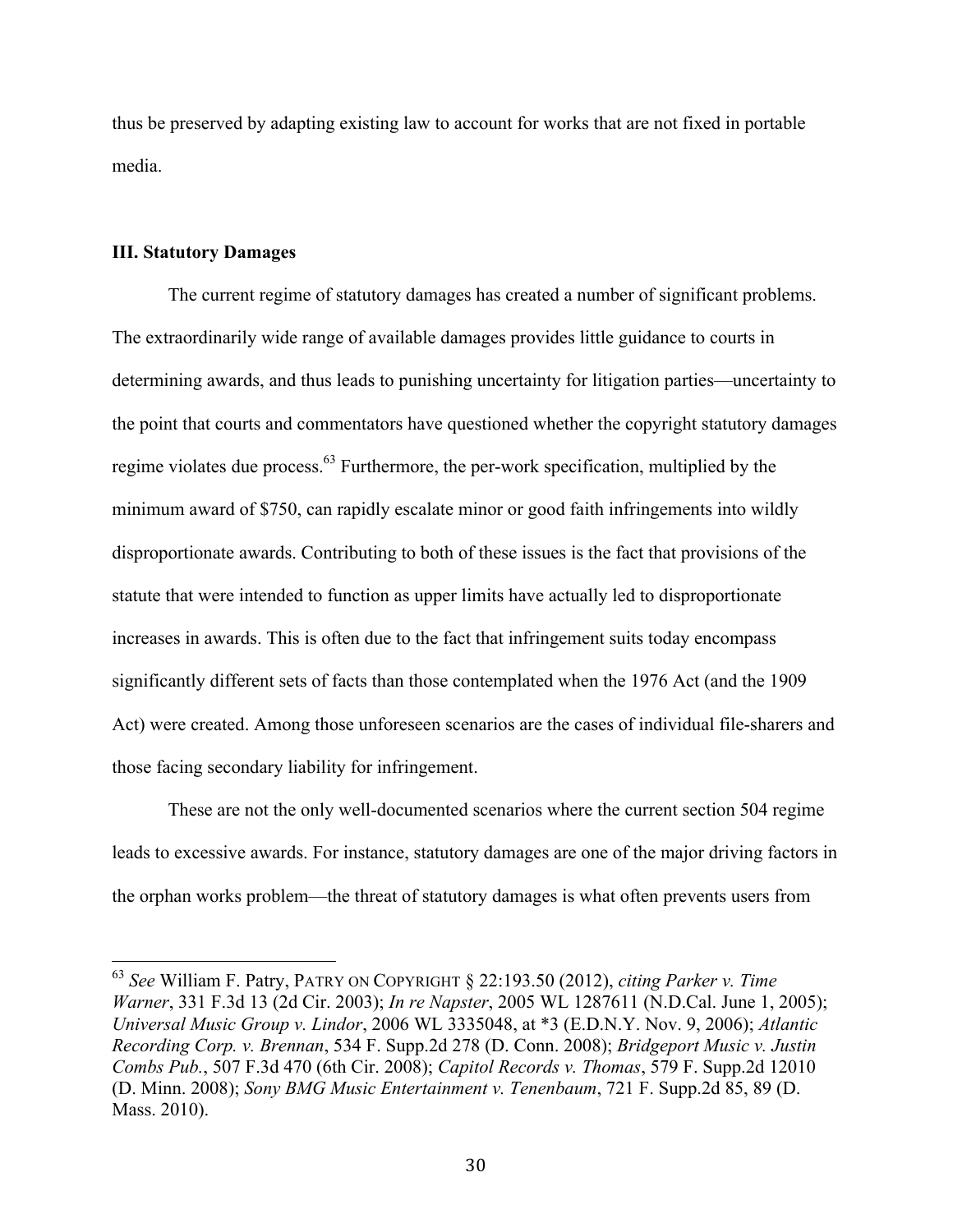thus be preserved by adapting existing law to account for works that are not fixed in portable media.

#### **III. Statutory Damages**

The current regime of statutory damages has created a number of significant problems. The extraordinarily wide range of available damages provides little guidance to courts in determining awards, and thus leads to punishing uncertainty for litigation parties—uncertainty to the point that courts and commentators have questioned whether the copyright statutory damages regime violates due process.63 Furthermore, the per-work specification, multiplied by the minimum award of \$750, can rapidly escalate minor or good faith infringements into wildly disproportionate awards. Contributing to both of these issues is the fact that provisions of the statute that were intended to function as upper limits have actually led to disproportionate increases in awards. This is often due to the fact that infringement suits today encompass significantly different sets of facts than those contemplated when the 1976 Act (and the 1909 Act) were created. Among those unforeseen scenarios are the cases of individual file-sharers and those facing secondary liability for infringement.

These are not the only well-documented scenarios where the current section 504 regime leads to excessive awards. For instance, statutory damages are one of the major driving factors in the orphan works problem—the threat of statutory damages is what often prevents users from

 <sup>63</sup> *See* William F. Patry, PATRY ON COPYRIGHT § 22:193.50 (2012), *citing Parker v. Time Warner*, 331 F.3d 13 (2d Cir. 2003); *In re Napster*, 2005 WL 1287611 (N.D.Cal. June 1, 2005); *Universal Music Group v. Lindor*, 2006 WL 3335048, at \*3 (E.D.N.Y. Nov. 9, 2006); *Atlantic Recording Corp. v. Brennan*, 534 F. Supp.2d 278 (D. Conn. 2008); *Bridgeport Music v. Justin Combs Pub.*, 507 F.3d 470 (6th Cir. 2008); *Capitol Records v. Thomas*, 579 F. Supp.2d 12010 (D. Minn. 2008); *Sony BMG Music Entertainment v. Tenenbaum*, 721 F. Supp.2d 85, 89 (D. Mass. 2010).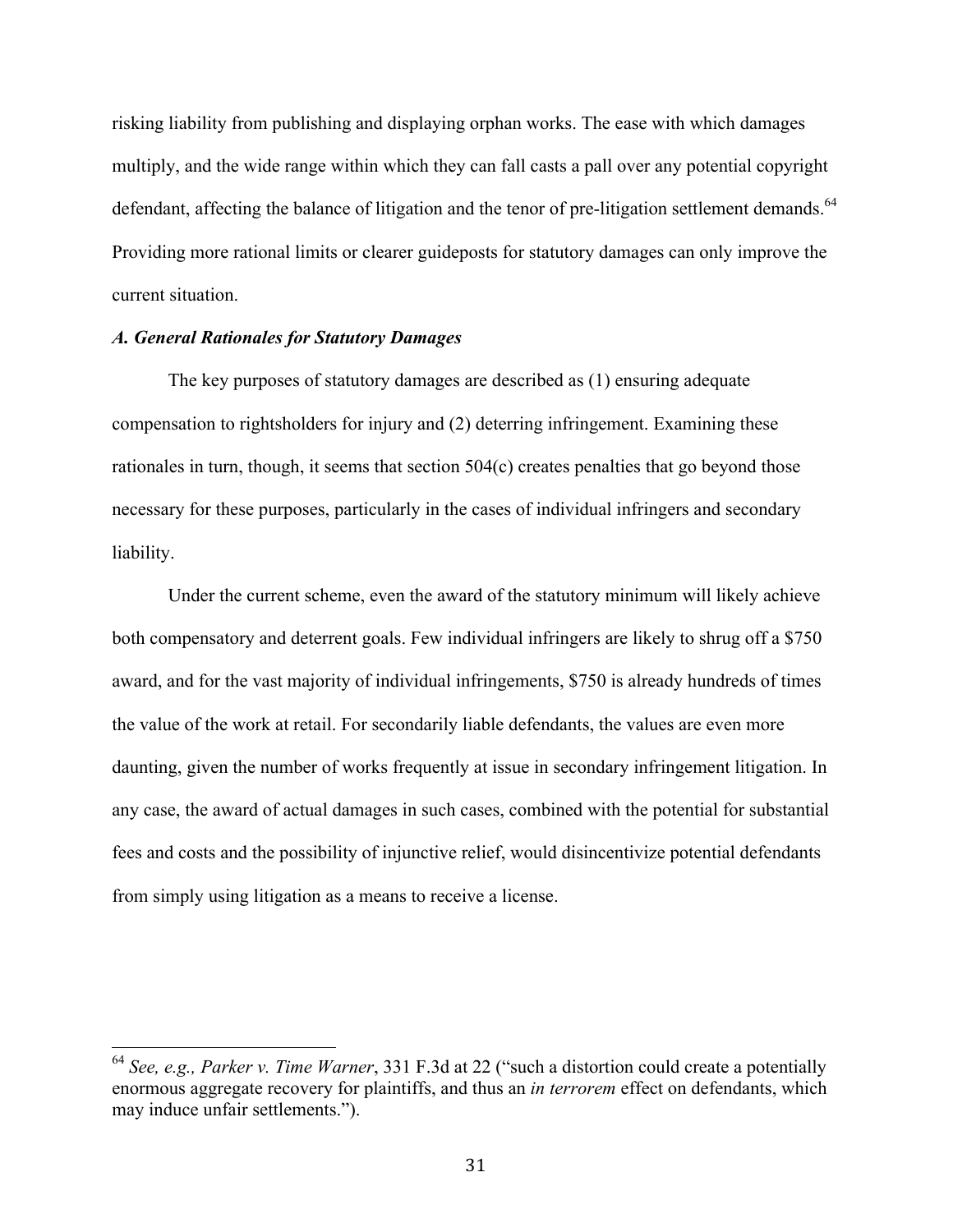risking liability from publishing and displaying orphan works. The ease with which damages multiply, and the wide range within which they can fall casts a pall over any potential copyright defendant, affecting the balance of litigation and the tenor of pre-litigation settlement demands.<sup>64</sup> Providing more rational limits or clearer guideposts for statutory damages can only improve the current situation.

# *A. General Rationales for Statutory Damages*

The key purposes of statutory damages are described as (1) ensuring adequate compensation to rightsholders for injury and (2) deterring infringement. Examining these rationales in turn, though, it seems that section 504(c) creates penalties that go beyond those necessary for these purposes, particularly in the cases of individual infringers and secondary liability.

Under the current scheme, even the award of the statutory minimum will likely achieve both compensatory and deterrent goals. Few individual infringers are likely to shrug off a \$750 award, and for the vast majority of individual infringements, \$750 is already hundreds of times the value of the work at retail. For secondarily liable defendants, the values are even more daunting, given the number of works frequently at issue in secondary infringement litigation. In any case, the award of actual damages in such cases, combined with the potential for substantial fees and costs and the possibility of injunctive relief, would disincentivize potential defendants from simply using litigation as a means to receive a license.

 <sup>64</sup> *See, e.g., Parker v. Time Warner*, 331 F.3d at 22 ("such a distortion could create a potentially enormous aggregate recovery for plaintiffs, and thus an *in terrorem* effect on defendants, which may induce unfair settlements.").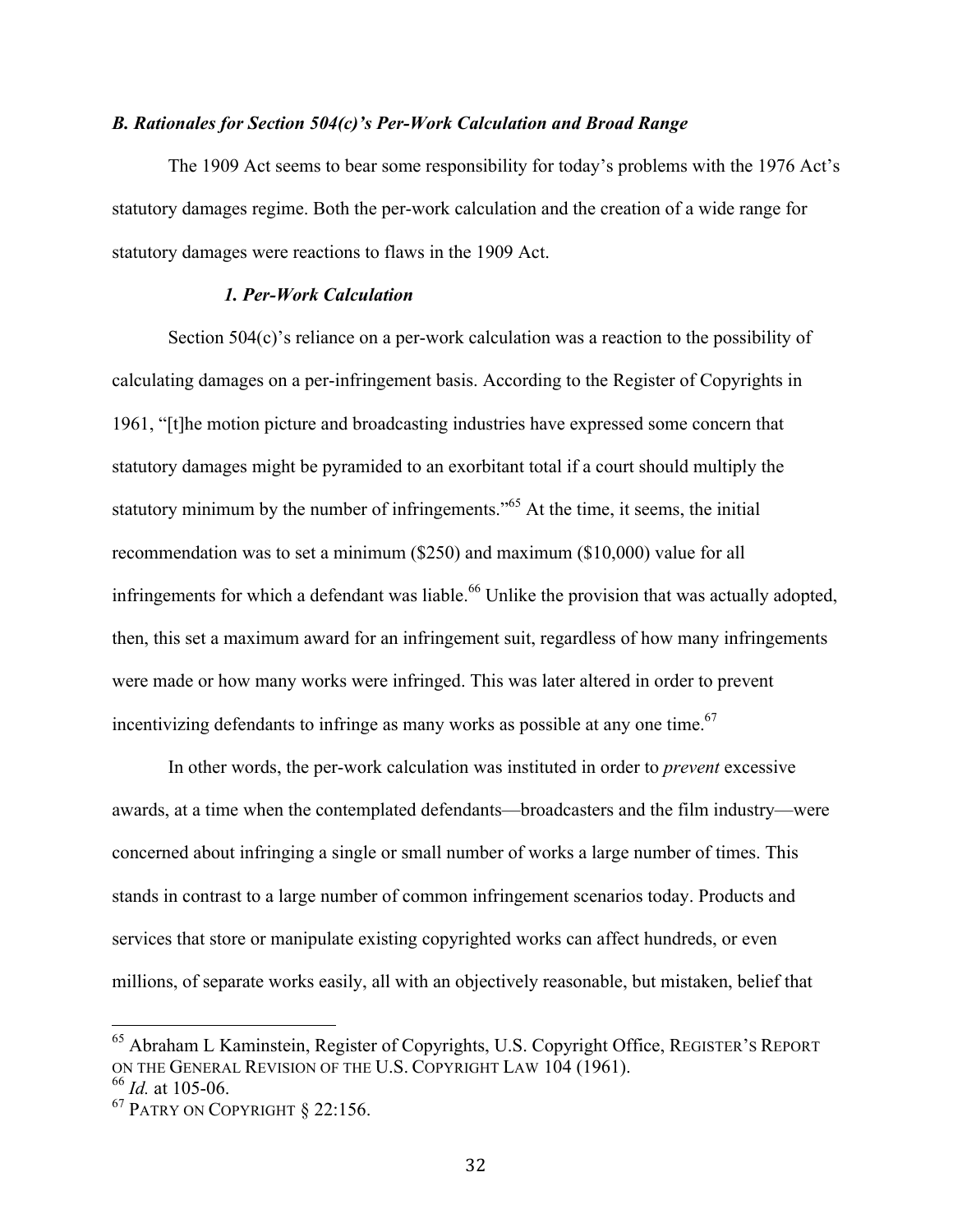#### *B. Rationales for Section 504(c)'s Per-Work Calculation and Broad Range*

The 1909 Act seems to bear some responsibility for today's problems with the 1976 Act's statutory damages regime. Both the per-work calculation and the creation of a wide range for statutory damages were reactions to flaws in the 1909 Act.

### *1. Per-Work Calculation*

Section 504(c)'s reliance on a per-work calculation was a reaction to the possibility of calculating damages on a per-infringement basis. According to the Register of Copyrights in 1961, "[t]he motion picture and broadcasting industries have expressed some concern that statutory damages might be pyramided to an exorbitant total if a court should multiply the statutory minimum by the number of infringements.<sup>565</sup> At the time, it seems, the initial recommendation was to set a minimum (\$250) and maximum (\$10,000) value for all infringements for which a defendant was liable.<sup>66</sup> Unlike the provision that was actually adopted, then, this set a maximum award for an infringement suit, regardless of how many infringements were made or how many works were infringed. This was later altered in order to prevent incentivizing defendants to infringe as many works as possible at any one time.<sup>67</sup>

In other words, the per-work calculation was instituted in order to *prevent* excessive awards, at a time when the contemplated defendants—broadcasters and the film industry—were concerned about infringing a single or small number of works a large number of times. This stands in contrast to a large number of common infringement scenarios today. Products and services that store or manipulate existing copyrighted works can affect hundreds, or even millions, of separate works easily, all with an objectively reasonable, but mistaken, belief that

<sup>&</sup>lt;sup>65</sup> Abraham L Kaminstein, Register of Copyrights, U.S. Copyright Office, REGISTER'S REPORT ON THE GENERAL REVISION OF THE U.S. COPYRIGHT LAW 104 (1961). <sup>66</sup> *Id.* at 105-06.

<sup>67</sup> PATRY ON COPYRIGHT § 22:156.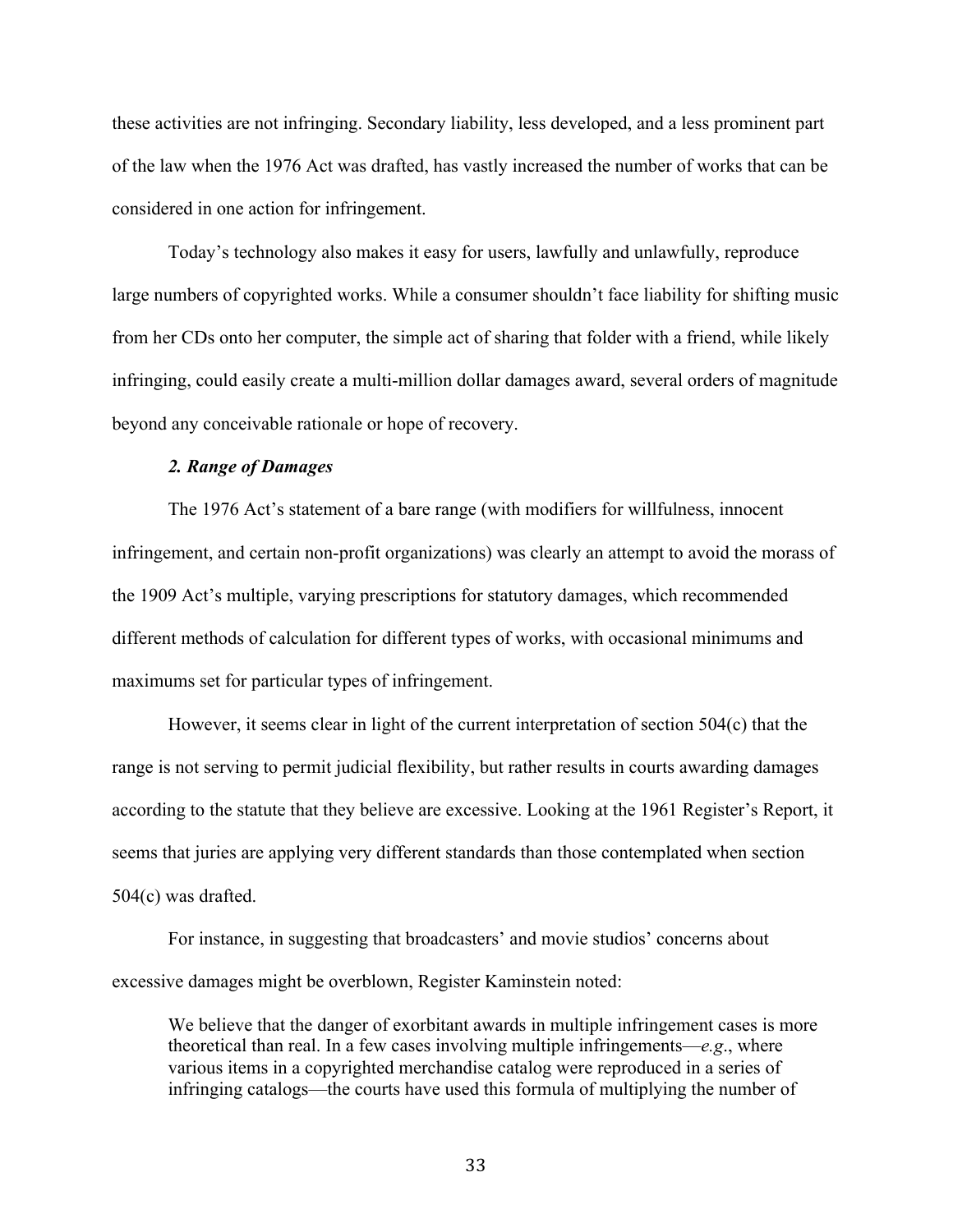these activities are not infringing. Secondary liability, less developed, and a less prominent part of the law when the 1976 Act was drafted, has vastly increased the number of works that can be considered in one action for infringement.

Today's technology also makes it easy for users, lawfully and unlawfully, reproduce large numbers of copyrighted works. While a consumer shouldn't face liability for shifting music from her CDs onto her computer, the simple act of sharing that folder with a friend, while likely infringing, could easily create a multi-million dollar damages award, several orders of magnitude beyond any conceivable rationale or hope of recovery.

#### *2. Range of Damages*

The 1976 Act's statement of a bare range (with modifiers for willfulness, innocent infringement, and certain non-profit organizations) was clearly an attempt to avoid the morass of the 1909 Act's multiple, varying prescriptions for statutory damages, which recommended different methods of calculation for different types of works, with occasional minimums and maximums set for particular types of infringement.

However, it seems clear in light of the current interpretation of section 504(c) that the range is not serving to permit judicial flexibility, but rather results in courts awarding damages according to the statute that they believe are excessive. Looking at the 1961 Register's Report, it seems that juries are applying very different standards than those contemplated when section 504(c) was drafted.

For instance, in suggesting that broadcasters' and movie studios' concerns about excessive damages might be overblown, Register Kaminstein noted:

We believe that the danger of exorbitant awards in multiple infringement cases is more theoretical than real. In a few cases involving multiple infringements—*e.g*., where various items in a copyrighted merchandise catalog were reproduced in a series of infringing catalogs—the courts have used this formula of multiplying the number of

33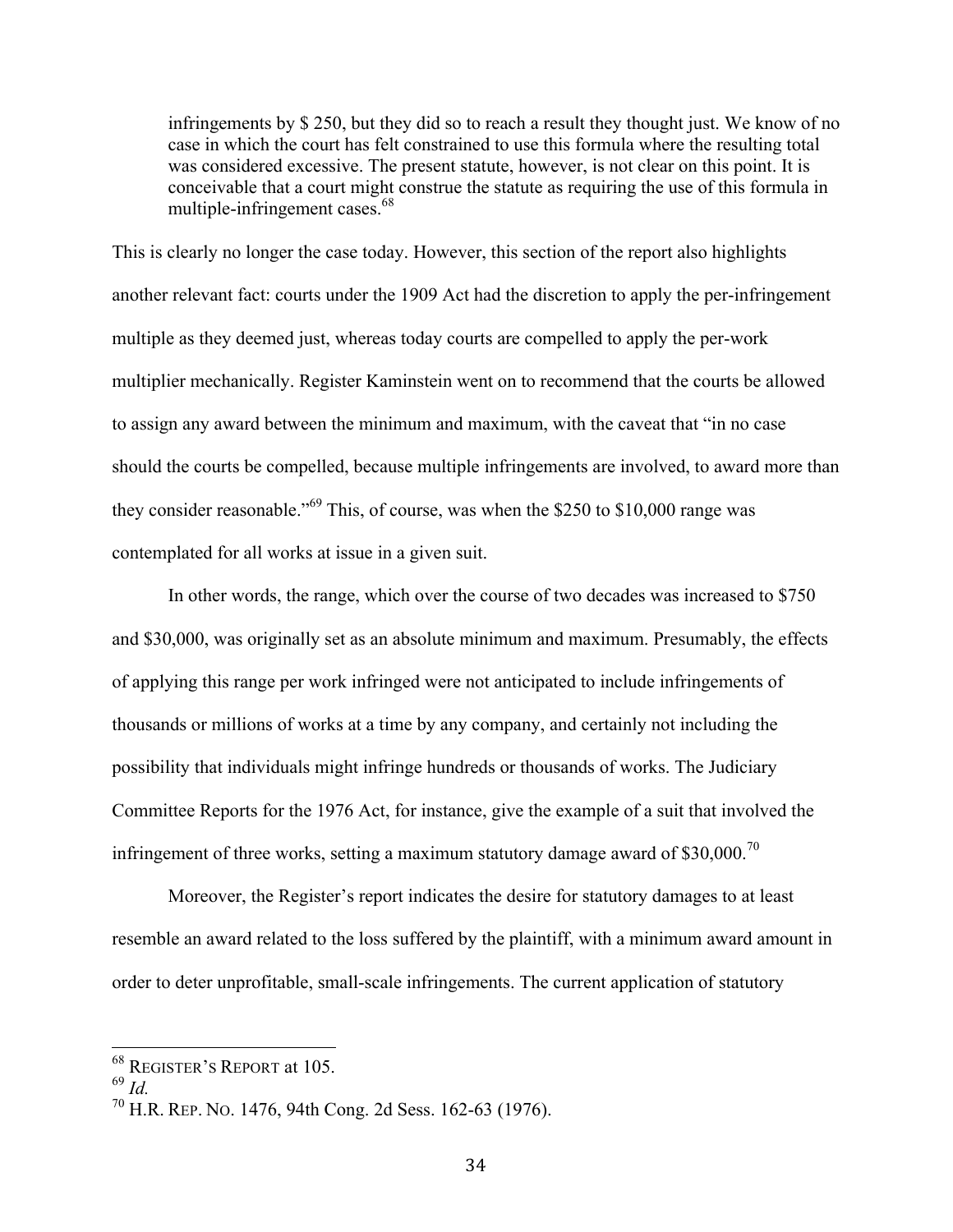infringements by \$ 250, but they did so to reach a result they thought just. We know of no case in which the court has felt constrained to use this formula where the resulting total was considered excessive. The present statute, however, is not clear on this point. It is conceivable that a court might construe the statute as requiring the use of this formula in multiple-infringement cases.<sup>68</sup>

This is clearly no longer the case today. However, this section of the report also highlights another relevant fact: courts under the 1909 Act had the discretion to apply the per-infringement multiple as they deemed just, whereas today courts are compelled to apply the per-work multiplier mechanically. Register Kaminstein went on to recommend that the courts be allowed to assign any award between the minimum and maximum, with the caveat that "in no case should the courts be compelled, because multiple infringements are involved, to award more than they consider reasonable."<sup>69</sup> This, of course, was when the \$250 to \$10,000 range was contemplated for all works at issue in a given suit.

In other words, the range, which over the course of two decades was increased to \$750 and \$30,000, was originally set as an absolute minimum and maximum. Presumably, the effects of applying this range per work infringed were not anticipated to include infringements of thousands or millions of works at a time by any company, and certainly not including the possibility that individuals might infringe hundreds or thousands of works. The Judiciary Committee Reports for the 1976 Act, for instance, give the example of a suit that involved the infringement of three works, setting a maximum statutory damage award of  $$30,000$ .<sup>70</sup>

Moreover, the Register's report indicates the desire for statutory damages to at least resemble an award related to the loss suffered by the plaintiff, with a minimum award amount in order to deter unprofitable, small-scale infringements. The current application of statutory

 <sup>68</sup> REGISTER'S REPORT at 105.

<sup>69</sup> *Id.*

<sup>70</sup> H.R. REP. NO. 1476, 94th Cong. 2d Sess. 162-63 (1976).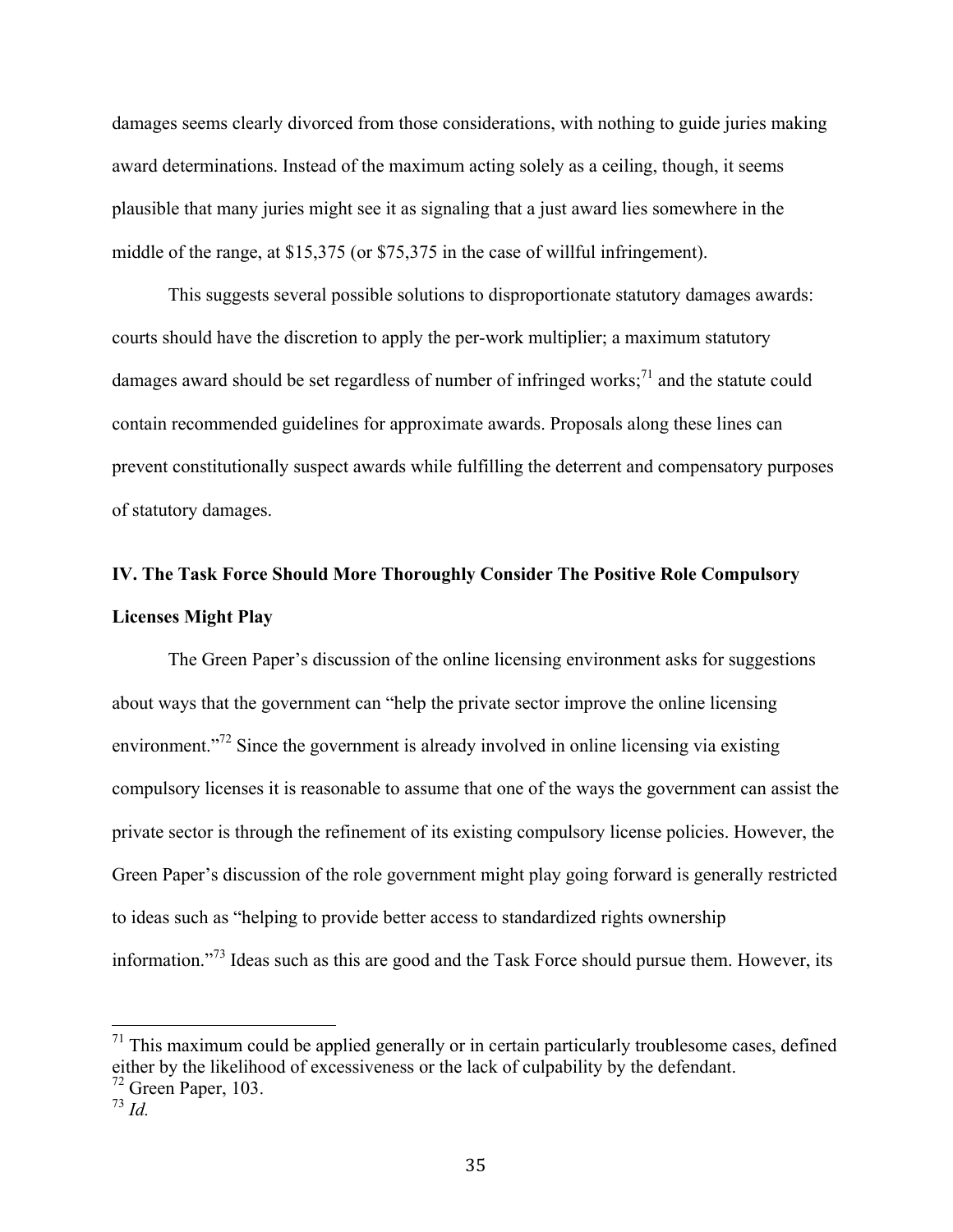damages seems clearly divorced from those considerations, with nothing to guide juries making award determinations. Instead of the maximum acting solely as a ceiling, though, it seems plausible that many juries might see it as signaling that a just award lies somewhere in the middle of the range, at \$15,375 (or \$75,375 in the case of willful infringement).

This suggests several possible solutions to disproportionate statutory damages awards: courts should have the discretion to apply the per-work multiplier; a maximum statutory damages award should be set regardless of number of infringed works;<sup>71</sup> and the statute could contain recommended guidelines for approximate awards. Proposals along these lines can prevent constitutionally suspect awards while fulfilling the deterrent and compensatory purposes of statutory damages.

# **IV. The Task Force Should More Thoroughly Consider The Positive Role Compulsory Licenses Might Play**

The Green Paper's discussion of the online licensing environment asks for suggestions about ways that the government can "help the private sector improve the online licensing environment.<sup>"72</sup> Since the government is already involved in online licensing via existing compulsory licenses it is reasonable to assume that one of the ways the government can assist the private sector is through the refinement of its existing compulsory license policies. However, the Green Paper's discussion of the role government might play going forward is generally restricted to ideas such as "helping to provide better access to standardized rights ownership information."<sup>73</sup> Ideas such as this are good and the Task Force should pursue them. However, its

 $71$  This maximum could be applied generally or in certain particularly troublesome cases, defined either by the likelihood of excessiveness or the lack of culpability by the defendant.

 $72$  Green Paper, 103.

<sup>73</sup> *Id.*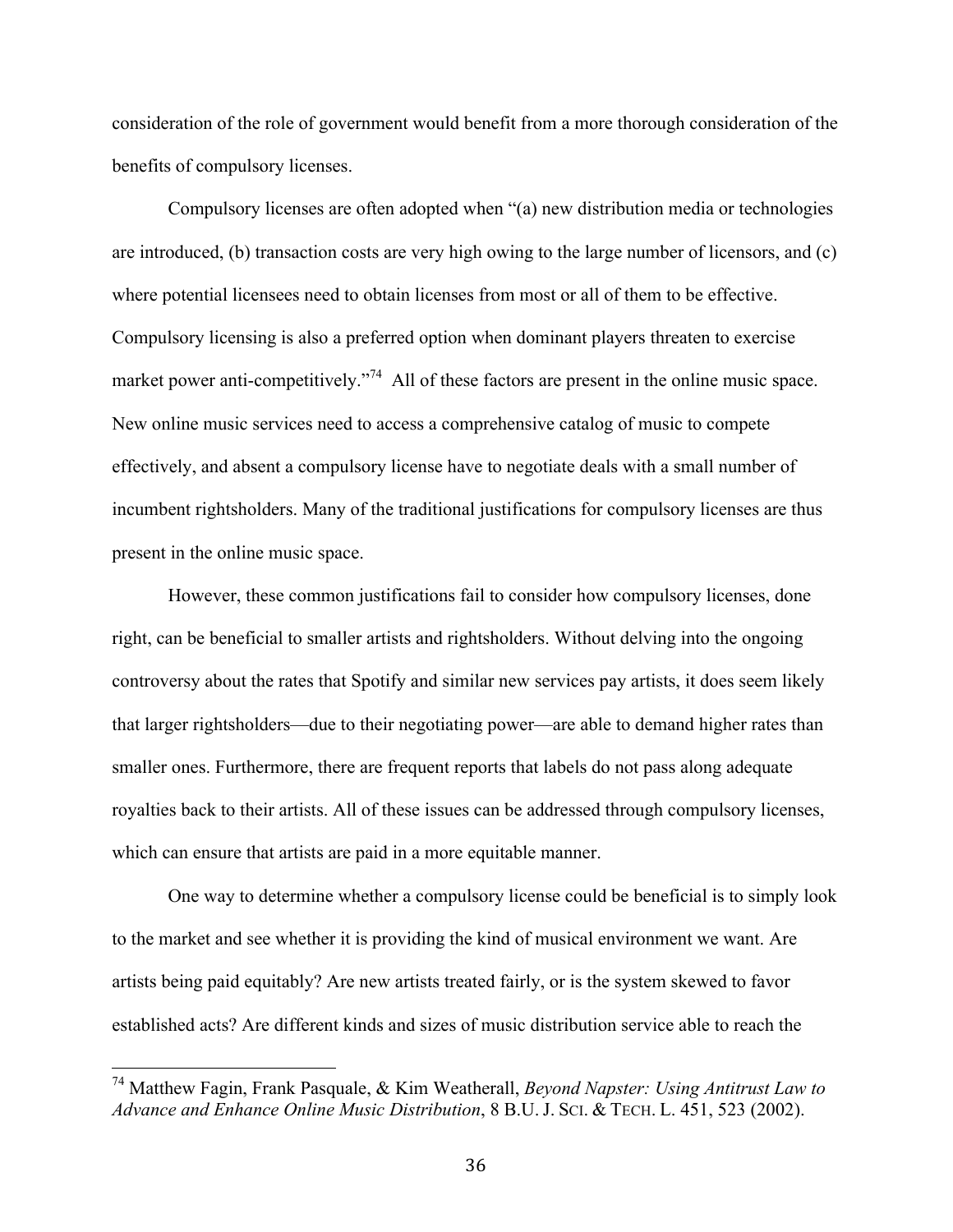consideration of the role of government would benefit from a more thorough consideration of the benefits of compulsory licenses.

Compulsory licenses are often adopted when "(a) new distribution media or technologies are introduced, (b) transaction costs are very high owing to the large number of licensors, and (c) where potential licensees need to obtain licenses from most or all of them to be effective. Compulsory licensing is also a preferred option when dominant players threaten to exercise market power anti-competitively."<sup>74</sup> All of these factors are present in the online music space. New online music services need to access a comprehensive catalog of music to compete effectively, and absent a compulsory license have to negotiate deals with a small number of incumbent rightsholders. Many of the traditional justifications for compulsory licenses are thus present in the online music space.

However, these common justifications fail to consider how compulsory licenses, done right, can be beneficial to smaller artists and rightsholders. Without delving into the ongoing controversy about the rates that Spotify and similar new services pay artists, it does seem likely that larger rightsholders—due to their negotiating power—are able to demand higher rates than smaller ones. Furthermore, there are frequent reports that labels do not pass along adequate royalties back to their artists. All of these issues can be addressed through compulsory licenses, which can ensure that artists are paid in a more equitable manner.

One way to determine whether a compulsory license could be beneficial is to simply look to the market and see whether it is providing the kind of musical environment we want. Are artists being paid equitably? Are new artists treated fairly, or is the system skewed to favor established acts? Are different kinds and sizes of music distribution service able to reach the

 <sup>74</sup> Matthew Fagin, Frank Pasquale, & Kim Weatherall, *Beyond Napster: Using Antitrust Law to Advance and Enhance Online Music Distribution*, 8 B.U. J. SCI. & TECH. L. 451, 523 (2002).